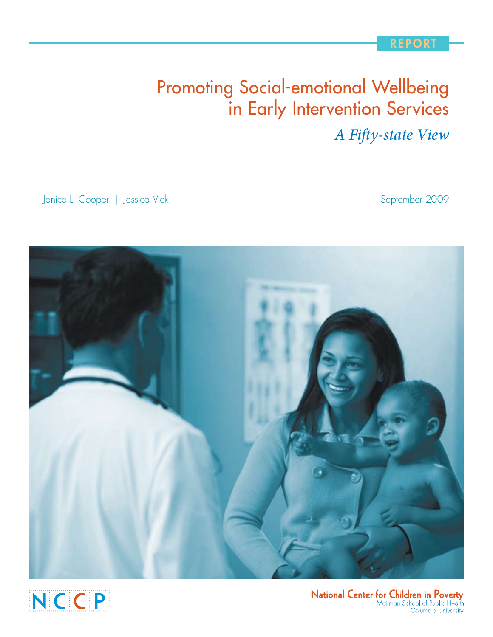## **REPOR**

# Promoting Social-emotional Wellbeing in Early Intervention Services

*A Fifty-state View*

Janice L. Cooper | Jessica Vick September 2009





National Center for Children in Poverty<br>Mailman School of Public Health Columbia University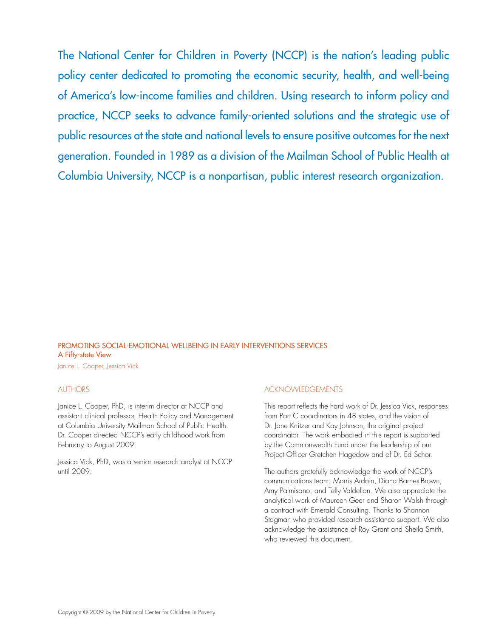The National Center for Children in Poverty (NCCP) is the nation's leading public policy center dedicated to promoting the economic security, health, and well-being of America's low-income families and children. Using research to inform policy and practice, NCCP seeks to advance family-oriented solutions and the strategic use of public resources at the state and national levels to ensure positive outcomes for the next generation. Founded in 1989 as a division of the Mailman School of Public Health at Columbia University, NCCP is a nonpartisan, public interest research organization.

## Promoting Social-emotional Wellbeing in Early Interventions Services A Fifty-state View

Janice L. Cooper, Jessica Vick

#### AUTHORS

Janice L. Cooper, PhD, is interim director at NCCP and assistant clinical professor, Health Policy and Management at Columbia University Mailman School of Public Health. Dr. Cooper directed NCCP's early childhood work from February to August 2009.

Jessica Vick, PhD, was a senior research analyst at NCCP until 2009.

#### Acknowledgements

This report reflects the hard work of Dr. Jessica Vick, responses from Part C coordinators in 48 states, and the vision of Dr. Jane Knitzer and Kay Johnson, the original project coordinator. The work embodied in this report is supported by the Commonwealth Fund under the leadership of our Project Officer Gretchen Hagedow and of Dr. Ed Schor.

The authors gratefully acknowledge the work of NCCP's communications team: Morris Ardoin, Diana Barnes-Brown, Amy Palmisano, and Telly Valdellon. We also appreciate the analytical work of Maureen Geer and Sharon Walsh through a contract with Emerald Consulting. Thanks to Shannon Stagman who provided research assistance support. We also acknowledge the assistance of Roy Grant and Sheila Smith, who reviewed this document.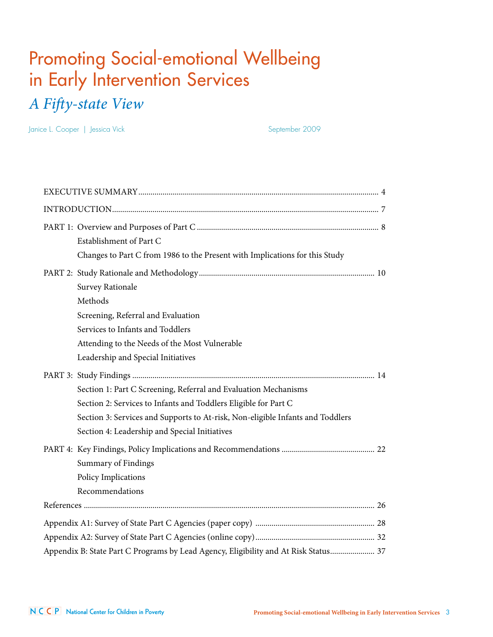# Promoting Social-emotional Wellbeing in Early Intervention Services *A Fifty-state View*

Janice L. Cooper | Jessica Vick September 2009

| Establishment of Part C<br>Changes to Part C from 1986 to the Present with Implications for this Study                                                                                                                                                                                                      |
|-------------------------------------------------------------------------------------------------------------------------------------------------------------------------------------------------------------------------------------------------------------------------------------------------------------|
| <b>Survey Rationale</b><br>Methods<br>Screening, Referral and Evaluation<br>Services to Infants and Toddlers<br>Attending to the Needs of the Most Vulnerable                                                                                                                                               |
| Leadership and Special Initiatives<br>Section 1: Part C Screening, Referral and Evaluation Mechanisms<br>Section 2: Services to Infants and Toddlers Eligible for Part C<br>Section 3: Services and Supports to At-risk, Non-eligible Infants and Toddlers<br>Section 4: Leadership and Special Initiatives |
| <b>Summary of Findings</b><br>Policy Implications<br>Recommendations                                                                                                                                                                                                                                        |
|                                                                                                                                                                                                                                                                                                             |
| Appendix B: State Part C Programs by Lead Agency, Eligibility and At Risk Status 37                                                                                                                                                                                                                         |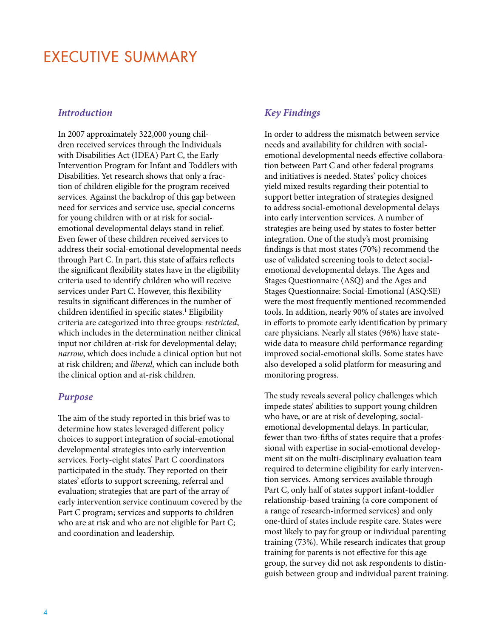## Executive Summary

#### *Introduction*

In 2007 approximately 322,000 young children received services through the Individuals with Disabilities Act (IDEA) Part C, the Early Intervention Program for Infant and Toddlers with Disabilities. Yet research shows that only a fraction of children eligible for the program received services. Against the backdrop of this gap between need for services and service use, special concerns for young children with or at risk for socialemotional developmental delays stand in relief. Even fewer of these children received services to address their social-emotional developmental needs through Part C. In part, this state of affairs reflects the significant flexibility states have in the eligibility criteria used to identify children who will receive services under Part C. However, this flexibility results in significant differences in the number of children identified in specific states.<sup>1</sup> Eligibility criteria are categorized into three groups: *restricted*, which includes in the determination neither clinical input nor children at-risk for developmental delay; *narrow*, which does include a clinical option but not at risk children; and *liberal*, which can include both the clinical option and at-risk children.

#### *Purpose*

The aim of the study reported in this brief was to determine how states leveraged different policy choices to support integration of social-emotional developmental strategies into early intervention services. Forty-eight states' Part C coordinators participated in the study. They reported on their states' efforts to support screening, referral and evaluation; strategies that are part of the array of early intervention service continuum covered by the Part C program; services and supports to children who are at risk and who are not eligible for Part C; and coordination and leadership.

### *Key Findings*

In order to address the mismatch between service needs and availability for children with socialemotional developmental needs effective collaboration between Part C and other federal programs and initiatives is needed. States' policy choices yield mixed results regarding their potential to support better integration of strategies designed to address social-emotional developmental delays into early intervention services. A number of strategies are being used by states to foster better integration. One of the study's most promising findings is that most states (70%) recommend the use of validated screening tools to detect socialemotional developmental delays. The Ages and Stages Questionnaire (ASQ) and the Ages and Stages Questionnaire: Social-Emotional (ASQ:SE) were the most frequently mentioned recommended tools. In addition, nearly 90% of states are involved in efforts to promote early identification by primary care physicians. Nearly all states (96%) have statewide data to measure child performance regarding improved social-emotional skills. Some states have also developed a solid platform for measuring and monitoring progress.

The study reveals several policy challenges which impede states' abilities to support young children who have, or are at risk of developing, socialemotional developmental delays. In particular, fewer than two-fifths of states require that a professional with expertise in social-emotional development sit on the multi-disciplinary evaluation team required to determine eligibility for early intervention services. Among services available through Part C, only half of states support infant-toddler relationship-based training (a core component of a range of research-informed services) and only one-third of states include respite care. States were most likely to pay for group or individual parenting training (73%). While research indicates that group training for parents is not effective for this age group, the survey did not ask respondents to distinguish between group and individual parent training.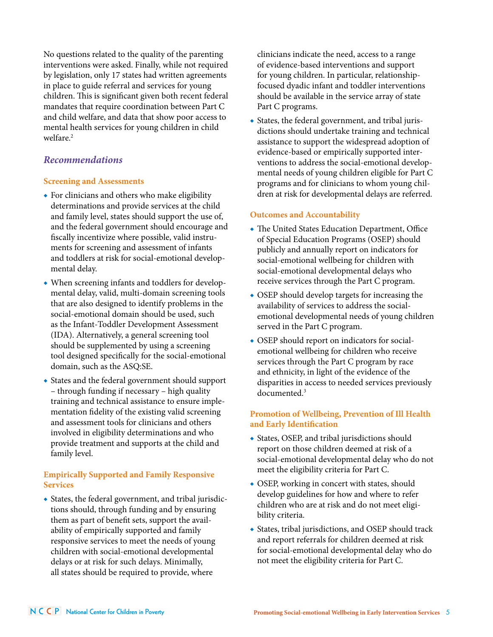No questions related to the quality of the parenting interventions were asked. Finally, while not required by legislation, only 17 states had written agreements in place to guide referral and services for young children. This is significant given both recent federal mandates that require coordination between Part C and child welfare, and data that show poor access to mental health services for young children in child welfare<sup>2</sup>

#### *Recommendations*

#### **Screening and Assessments**

- ◆ For clinicians and others who make eligibility determinations and provide services at the child and family level, states should support the use of, and the federal government should encourage and fiscally incentivize where possible, valid instruments for screening and assessment of infants and toddlers at risk for social-emotional developmental delay.
- ◆ When screening infants and toddlers for developmental delay, valid, multi-domain screening tools that are also designed to identify problems in the social-emotional domain should be used, such as the Infant-Toddler Development Assessment (IDA). Alternatively, a general screening tool should be supplemented by using a screening tool designed specifically for the social-emotional domain, such as the ASQ:SE.
- ◆ States and the federal government should support – through funding if necessary – high quality training and technical assistance to ensure implementation fidelity of the existing valid screening and assessment tools for clinicians and others involved in eligibility determinations and who provide treatment and supports at the child and family level.

#### **Empirically Supported and Family Responsive Services**

◆ States, the federal government, and tribal jurisdictions should, through funding and by ensuring them as part of benefit sets, support the availability of empirically supported and family responsive services to meet the needs of young children with social-emotional developmental delays or at risk for such delays. Minimally, all states should be required to provide, where

clinicians indicate the need, access to a range of evidence-based interventions and support for young children. In particular, relationshipfocused dyadic infant and toddler interventions should be available in the service array of state Part C programs.

◆ States, the federal government, and tribal jurisdictions should undertake training and technical assistance to support the widespread adoption of evidence-based or empirically supported interventions to address the social-emotional developmental needs of young children eligible for Part C programs and for clinicians to whom young children at risk for developmental delays are referred.

### **Outcomes and Accountability**

- ◆ The United States Education Department, Office of Special Education Programs (OSEP) should publicly and annually report on indicators for social-emotional wellbeing for children with social-emotional developmental delays who receive services through the Part C program.
- OSEP should develop targets for increasing the availability of services to address the socialemotional developmental needs of young children served in the Part C program.
- ◆ OSEP should report on indicators for socialemotional wellbeing for children who receive services through the Part C program by race and ethnicity, in light of the evidence of the disparities in access to needed services previously documented.3

### **Promotion of Wellbeing, Prevention of Ill Health and Early Identification**

- ◆ States, OSEP, and tribal jurisdictions should report on those children deemed at risk of a social-emotional developmental delay who do not meet the eligibility criteria for Part C.
- OSEP, working in concert with states, should develop guidelines for how and where to refer children who are at risk and do not meet eligibility criteria.
- ◆ States, tribal jurisdictions, and OSEP should track and report referrals for children deemed at risk for social-emotional developmental delay who do not meet the eligibility criteria for Part C.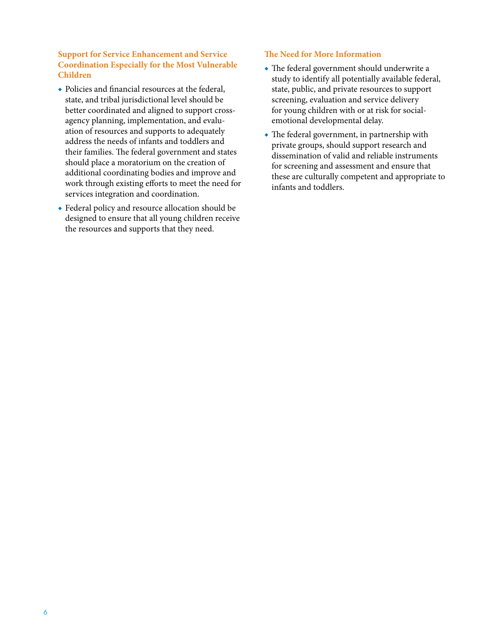#### **Support for Service Enhancement and Service Coordination Especially for the Most Vulnerable Children**

- ◆ Policies and financial resources at the federal, state, and tribal jurisdictional level should be better coordinated and aligned to support crossagency planning, implementation, and evaluation of resources and supports to adequately address the needs of infants and toddlers and their families. The federal government and states should place a moratorium on the creation of additional coordinating bodies and improve and work through existing efforts to meet the need for services integration and coordination.
- ◆ Federal policy and resource allocation should be designed to ensure that all young children receive the resources and supports that they need.

#### **The Need for More Information**

- ◆ The federal government should underwrite a study to identify all potentially available federal, state, public, and private resources to support screening, evaluation and service delivery for young children with or at risk for socialemotional developmental delay.
- ◆ The federal government, in partnership with private groups, should support research and dissemination of valid and reliable instruments for screening and assessment and ensure that these are culturally competent and appropriate to infants and toddlers.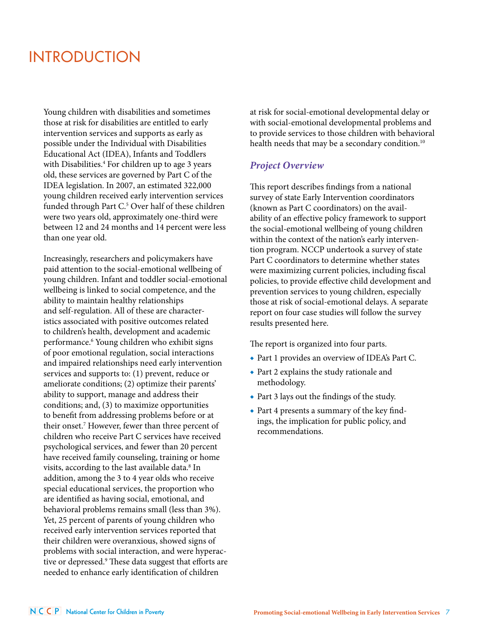## **INTRODUCTION**

Young children with disabilities and sometimes those at risk for disabilities are entitled to early intervention services and supports as early as possible under the Individual with Disabilities Educational Act (IDEA), Infants and Toddlers with Disabilities.<sup>4</sup> For children up to age 3 years old, these services are governed by Part C of the IDEA legislation. In 2007, an estimated 322,000 young children received early intervention services funded through Part C. <sup>5</sup> Over half of these children were two years old, approximately one-third were between 12 and 24 months and 14 percent were less than one year old.

Increasingly, researchers and policymakers have paid attention to the social-emotional wellbeing of young children. Infant and toddler social-emotional wellbeing is linked to social competence, and the ability to maintain healthy relationships and self-regulation. All of these are characteristics associated with positive outcomes related to children's health, development and academic performance.<sup>6</sup> Young children who exhibit signs of poor emotional regulation, social interactions and impaired relationships need early intervention services and supports to: (1) prevent, reduce or ameliorate conditions; (2) optimize their parents' ability to support, manage and address their conditions; and, (3) to maximize opportunities to benefit from addressing problems before or at their onset.7 However, fewer than three percent of children who receive Part C services have received psychological services, and fewer than 20 percent have received family counseling, training or home visits, according to the last available data.<sup>8</sup> In addition, among the 3 to 4 year olds who receive special educational services, the proportion who are identified as having social, emotional, and behavioral problems remains small (less than 3%). Yet, 25 percent of parents of young children who received early intervention services reported that their children were overanxious, showed signs of problems with social interaction, and were hyperactive or depressed.<sup>9</sup> These data suggest that efforts are needed to enhance early identification of children

at risk for social-emotional developmental delay or with social-emotional developmental problems and to provide services to those children with behavioral health needs that may be a secondary condition.<sup>10</sup>

#### *Project Overview*

This report describes findings from a national survey of state Early Intervention coordinators (known as Part C coordinators) on the availability of an effective policy framework to support the social-emotional wellbeing of young children within the context of the nation's early intervention program. NCCP undertook a survey of state Part C coordinators to determine whether states were maximizing current policies, including fiscal policies, to provide effective child development and prevention services to young children, especially those at risk of social-emotional delays. A separate report on four case studies will follow the survey results presented here.

The report is organized into four parts.

- ◆ Part 1 provides an overview of IDEA's Part C.
- ◆ Part 2 explains the study rationale and methodology.
- ◆ Part 3 lays out the findings of the study.
- ◆ Part 4 presents a summary of the key findings, the implication for public policy, and recommendations.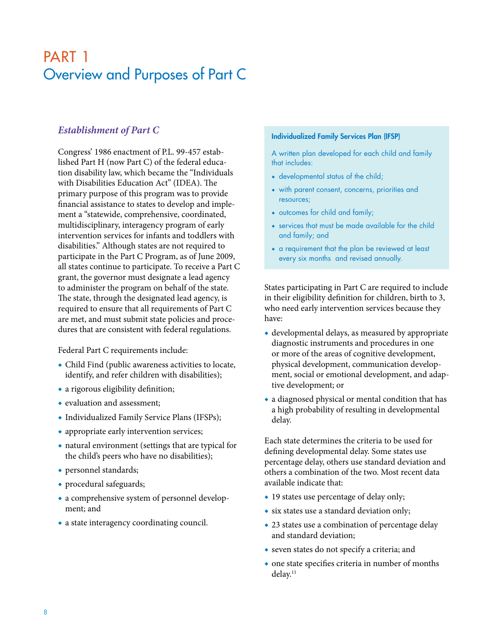## PART 1 Overview and Purposes of Part C

## *Establishment of Part C*

Congress' 1986 enactment of P.L. 99-457 established Part H (now Part C) of the federal education disability law, which became the "Individuals with Disabilities Education Act" (IDEA). The primary purpose of this program was to provide financial assistance to states to develop and implement a "statewide, comprehensive, coordinated, multidisciplinary, interagency program of early intervention services for infants and toddlers with disabilities." Although states are not required to participate in the Part C Program, as of June 2009, all states continue to participate. To receive a Part C grant, the governor must designate a lead agency to administer the program on behalf of the state. The state, through the designated lead agency, is required to ensure that all requirements of Part C are met, and must submit state policies and procedures that are consistent with federal regulations.

Federal Part C requirements include:

- ◆ Child Find (public awareness activities to locate, identify, and refer children with disabilities);
- ◆ a rigorous eligibility definition;
- ◆ evaluation and assessment;
- ◆ Individualized Family Service Plans (IFSPs);
- appropriate early intervention services;
- ◆ natural environment (settings that are typical for the child's peers who have no disabilities);
- ◆ personnel standards;
- ◆ procedural safeguards;
- ◆ a comprehensive system of personnel development; and
- ◆ a state interagency coordinating council.

#### Individualized Family Services Plan (IFSP)

A written plan developed for each child and family that includes:

- ◆ developmental status of the child;
- ◆ with parent consent, concerns, priorities and resources;
- ◆ outcomes for child and family;
- ◆ services that must be made available for the child and family; and
- ◆ a requirement that the plan be reviewed at least every six months and revised annually.

States participating in Part C are required to include in their eligibility definition for children, birth to 3, who need early intervention services because they have:

- $\bullet$  developmental delays, as measured by appropriate diagnostic instruments and procedures in one or more of the areas of cognitive development, physical development, communication development, social or emotional development, and adaptive development; or
- ◆ a diagnosed physical or mental condition that has a high probability of resulting in developmental delay.

Each state determines the criteria to be used for defining developmental delay. Some states use percentage delay, others use standard deviation and others a combination of the two. Most recent data available indicate that:

- ◆ 19 states use percentage of delay only;
- ◆ six states use a standard deviation only;
- ◆ 23 states use a combination of percentage delay and standard deviation;
- ◆ seven states do not specify a criteria; and
- ◆ one state specifies criteria in number of months delay.<sup>11</sup>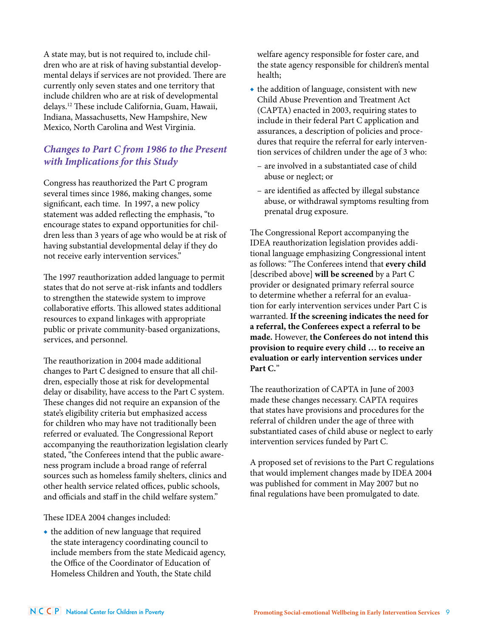A state may, but is not required to, include children who are at risk of having substantial developmental delays if services are not provided. There are currently only seven states and one territory that include children who are at risk of developmental delays.12 These include California, Guam, Hawaii, Indiana, Massachusetts, New Hampshire, New Mexico, North Carolina and West Virginia.

## *Changes to Part C from 1986 to the Present with Implications for this Study*

Congress has reauthorized the Part C program several times since 1986, making changes, some significant, each time. In 1997, a new policy statement was added reflecting the emphasis, "to encourage states to expand opportunities for children less than 3 years of age who would be at risk of having substantial developmental delay if they do not receive early intervention services."

The 1997 reauthorization added language to permit states that do not serve at-risk infants and toddlers to strengthen the statewide system to improve collaborative efforts. This allowed states additional resources to expand linkages with appropriate public or private community-based organizations, services, and personnel.

The reauthorization in 2004 made additional changes to Part C designed to ensure that all children, especially those at risk for developmental delay or disability, have access to the Part C system. These changes did not require an expansion of the state's eligibility criteria but emphasized access for children who may have not traditionally been referred or evaluated. The Congressional Report accompanying the reauthorization legislation clearly stated, "the Conferees intend that the public awareness program include a broad range of referral sources such as homeless family shelters, clinics and other health service related offices, public schools, and officials and staff in the child welfare system.''

#### These IDEA 2004 changes included:

◆ the addition of new language that required the state interagency coordinating council to include members from the state Medicaid agency, the Office of the Coordinator of Education of Homeless Children and Youth, the State child

welfare agency responsible for foster care, and the state agency responsible for children's mental health;

- ◆ the addition of language, consistent with new Child Abuse Prevention and Treatment Act (CAPTA) enacted in 2003, requiring states to include in their federal Part C application and assurances, a description of policies and procedures that require the referral for early intervention services of children under the age of 3 who:
	- are involved in a substantiated case of child abuse or neglect; or
	- are identified as affected by illegal substance abuse, or withdrawal symptoms resulting from prenatal drug exposure.

The Congressional Report accompanying the IDEA reauthorization legislation provides additional language emphasizing Congressional intent as follows: "The Conferees intend that **every child**  [described above] **will be screened** by a Part C provider or designated primary referral source to determine whether a referral for an evaluation for early intervention services under Part C is warranted. **If the screening indicates the need for a referral, the Conferees expect a referral to be made.** However, **the Conferees do not intend this provision to require every child … to receive an evaluation or early intervention services under Part C.**''

The reauthorization of CAPTA in June of 2003 made these changes necessary. CAPTA requires that states have provisions and procedures for the referral of children under the age of three with substantiated cases of child abuse or neglect to early intervention services funded by Part C.

A proposed set of revisions to the Part C regulations that would implement changes made by IDEA 2004 was published for comment in May 2007 but no final regulations have been promulgated to date.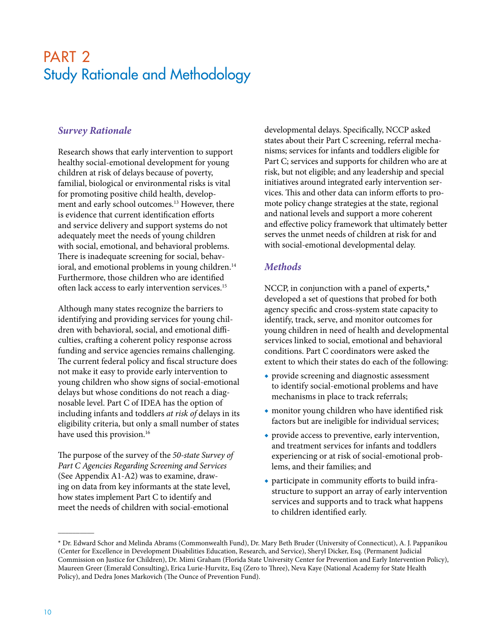## PART<sub>2</sub> Study Rationale and Methodology

## *Survey Rationale*

Research shows that early intervention to support healthy social-emotional development for young children at risk of delays because of poverty, familial, biological or environmental risks is vital for promoting positive child health, development and early school outcomes.<sup>13</sup> However, there is evidence that current identification efforts and service delivery and support systems do not adequately meet the needs of young children with social, emotional, and behavioral problems. There is inadequate screening for social, behavioral, and emotional problems in young children.<sup>14</sup> Furthermore, those children who are identified often lack access to early intervention services.15

Although many states recognize the barriers to identifying and providing services for young children with behavioral, social, and emotional difficulties, crafting a coherent policy response across funding and service agencies remains challenging. The current federal policy and fiscal structure does not make it easy to provide early intervention to young children who show signs of social-emotional delays but whose conditions do not reach a diagnosable level. Part C of IDEA has the option of including infants and toddlers *at risk of* delays in its eligibility criteria, but only a small number of states have used this provision.<sup>16</sup>

The purpose of the survey of the *50-state Survey of Part C Agencies Regarding Screening and Services* (See Appendix A1-A2) was to examine, drawing on data from key informants at the state level, how states implement Part C to identify and meet the needs of children with social-emotional

developmental delays. Specifically, NCCP asked states about their Part C screening, referral mechanisms; services for infants and toddlers eligible for Part C; services and supports for children who are at risk, but not eligible; and any leadership and special initiatives around integrated early intervention services. This and other data can inform efforts to promote policy change strategies at the state, regional and national levels and support a more coherent and effective policy framework that ultimately better serves the unmet needs of children at risk for and with social-emotional developmental delay.

## *Methods*

NCCP, in conjunction with a panel of experts,\* developed a set of questions that probed for both agency specific and cross-system state capacity to identify, track, serve, and monitor outcomes for young children in need of health and developmental services linked to social, emotional and behavioral conditions. Part C coordinators were asked the extent to which their states do each of the following:

- ◆ provide screening and diagnostic assessment to identify social-emotional problems and have mechanisms in place to track referrals;
- ◆ monitor young children who have identified risk factors but are ineligible for individual services;
- ◆ provide access to preventive, early intervention, and treatment services for infants and toddlers experiencing or at risk of social-emotional problems, and their families; and
- ◆ participate in community efforts to build infrastructure to support an array of early intervention services and supports and to track what happens to children identified early.

 $\overline{\phantom{a}}$ 

<sup>\*</sup> Dr. Edward Schor and Melinda Abrams (Commonwealth Fund), Dr. Mary Beth Bruder (University of Connecticut), A. J. Pappanikou (Center for Excellence in Development Disabilities Education, Research, and Service), Sheryl Dicker, Esq. (Permanent Judicial Commission on Justice for Children), Dr. Mimi Graham (Florida State University Center for Prevention and Early Intervention Policy), Maureen Greer (Emerald Consulting), Erica Lurie-Hurvitz, Esq (Zero to Three), Neva Kaye (National Academy for State Health Policy), and Dedra Jones Markovich (The Ounce of Prevention Fund).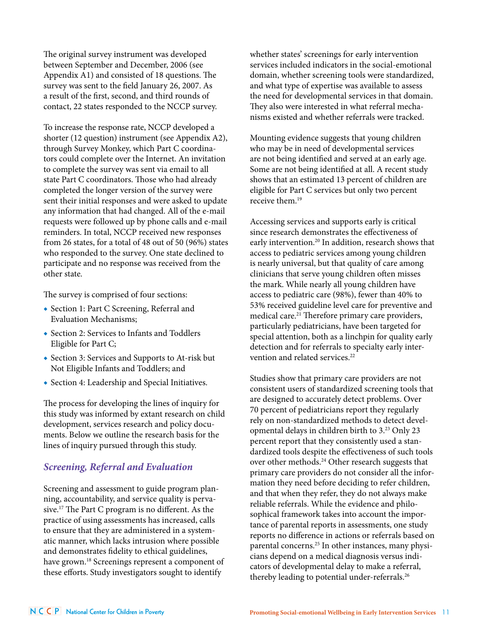The original survey instrument was developed between September and December, 2006 (see Appendix A1) and consisted of 18 questions. The survey was sent to the field January 26, 2007. As a result of the first, second, and third rounds of contact, 22 states responded to the NCCP survey.

To increase the response rate, NCCP developed a shorter (12 question) instrument (see Appendix A2), through Survey Monkey, which Part C coordinators could complete over the Internet. An invitation to complete the survey was sent via email to all state Part C coordinators. Those who had already completed the longer version of the survey were sent their initial responses and were asked to update any information that had changed. All of the e-mail requests were followed up by phone calls and e-mail reminders. In total, NCCP received new responses from 26 states, for a total of 48 out of 50 (96%) states who responded to the survey. One state declined to participate and no response was received from the other state.

The survey is comprised of four sections:

- ◆ Section 1: Part C Screening, Referral and Evaluation Mechanisms;
- ◆ Section 2: Services to Infants and Toddlers Eligible for Part C;
- ◆ Section 3: Services and Supports to At-risk but Not Eligible Infants and Toddlers; and
- ◆ Section 4: Leadership and Special Initiatives.

The process for developing the lines of inquiry for this study was informed by extant research on child development, services research and policy documents. Below we outline the research basis for the lines of inquiry pursued through this study.

#### *Screening, Referral and Evaluation*

Screening and assessment to guide program planning, accountability, and service quality is pervasive.17 The Part C program is no different. As the practice of using assessments has increased, calls to ensure that they are administered in a systematic manner, which lacks intrusion where possible and demonstrates fidelity to ethical guidelines, have grown.<sup>18</sup> Screenings represent a component of these efforts. Study investigators sought to identify

whether states' screenings for early intervention services included indicators in the social-emotional domain, whether screening tools were standardized, and what type of expertise was available to assess the need for developmental services in that domain. They also were interested in what referral mechanisms existed and whether referrals were tracked.

Mounting evidence suggests that young children who may be in need of developmental services are not being identified and served at an early age. Some are not being identified at all. A recent study shows that an estimated 13 percent of children are eligible for Part C services but only two percent receive them  $19$ 

Accessing services and supports early is critical since research demonstrates the effectiveness of early intervention.20 In addition, research shows that access to pediatric services among young children is nearly universal, but that quality of care among clinicians that serve young children often misses the mark. While nearly all young children have access to pediatric care (98%), fewer than 40% to 53% received guideline level care for preventive and medical care.<sup>21</sup> Therefore primary care providers, particularly pediatricians, have been targeted for special attention, both as a linchpin for quality early detection and for referrals to specialty early intervention and related services<sup>22</sup>

Studies show that primary care providers are not consistent users of standardized screening tools that are designed to accurately detect problems. Over 70 percent of pediatricians report they regularly rely on non-standardized methods to detect developmental delays in children birth to 3.23 Only 23 percent report that they consistently used a standardized tools despite the effectiveness of such tools over other methods.24 Other research suggests that primary care providers do not consider all the information they need before deciding to refer children, and that when they refer, they do not always make reliable referrals. While the evidence and philosophical framework takes into account the importance of parental reports in assessments, one study reports no difference in actions or referrals based on parental concerns.25 In other instances, many physicians depend on a medical diagnosis versus indicators of developmental delay to make a referral, thereby leading to potential under-referrals.<sup>26</sup>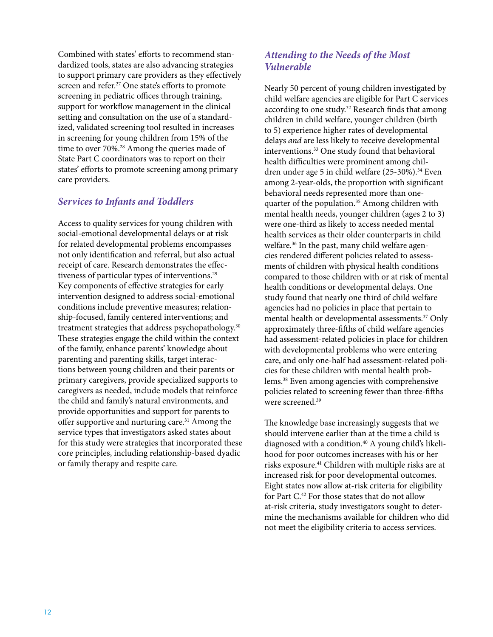Combined with states' efforts to recommend standardized tools, states are also advancing strategies to support primary care providers as they effectively screen and refer.<sup>27</sup> One state's efforts to promote screening in pediatric offices through training, support for workflow management in the clinical setting and consultation on the use of a standardized, validated screening tool resulted in increases in screening for young children from 15% of the time to over 70%.<sup>28</sup> Among the queries made of State Part C coordinators was to report on their states' efforts to promote screening among primary care providers.

## *Services to Infants and Toddlers*

Access to quality services for young children with social-emotional developmental delays or at risk for related developmental problems encompasses not only identification and referral, but also actual receipt of care. Research demonstrates the effectiveness of particular types of interventions.<sup>29</sup> Key components of effective strategies for early intervention designed to address social-emotional conditions include preventive measures; relationship-focused, family centered interventions; and treatment strategies that address psychopathology.<sup>30</sup> These strategies engage the child within the context of the family, enhance parents' knowledge about parenting and parenting skills, target interactions between young children and their parents or primary caregivers, provide specialized supports to caregivers as needed, include models that reinforce the child and family's natural environments, and provide opportunities and support for parents to offer supportive and nurturing care.31 Among the service types that investigators asked states about for this study were strategies that incorporated these core principles, including relationship-based dyadic or family therapy and respite care.

## *Attending to the Needs of the Most Vulnerable*

Nearly 50 percent of young children investigated by child welfare agencies are eligible for Part C services according to one study.<sup>32</sup> Research finds that among children in child welfare, younger children (birth to 5) experience higher rates of developmental delays *and* are less likely to receive developmental interventions.<sup>33</sup> One study found that behavioral health difficulties were prominent among children under age 5 in child welfare (25-30%).<sup>34</sup> Even among 2-year-olds, the proportion with significant behavioral needs represented more than onequarter of the population.<sup>35</sup> Among children with mental health needs, younger children (ages 2 to 3) were one-third as likely to access needed mental health services as their older counterparts in child welfare.<sup>36</sup> In the past, many child welfare agencies rendered different policies related to assessments of children with physical health conditions compared to those children with or at risk of mental health conditions or developmental delays. One study found that nearly one third of child welfare agencies had no policies in place that pertain to mental health or developmental assessments.<sup>37</sup> Only approximately three-fifths of child welfare agencies had assessment-related policies in place for children with developmental problems who were entering care, and only one-half had assessment-related policies for these children with mental health problems.38 Even among agencies with comprehensive policies related to screening fewer than three-fifths were screened<sup>39</sup>

The knowledge base increasingly suggests that we should intervene earlier than at the time a child is diagnosed with a condition.<sup>40</sup> A young child's likelihood for poor outcomes increases with his or her risks exposure.41 Children with multiple risks are at increased risk for poor developmental outcomes. Eight states now allow at-risk criteria for eligibility for Part C. 42 For those states that do not allow at-risk criteria, study investigators sought to determine the mechanisms available for children who did not meet the eligibility criteria to access services.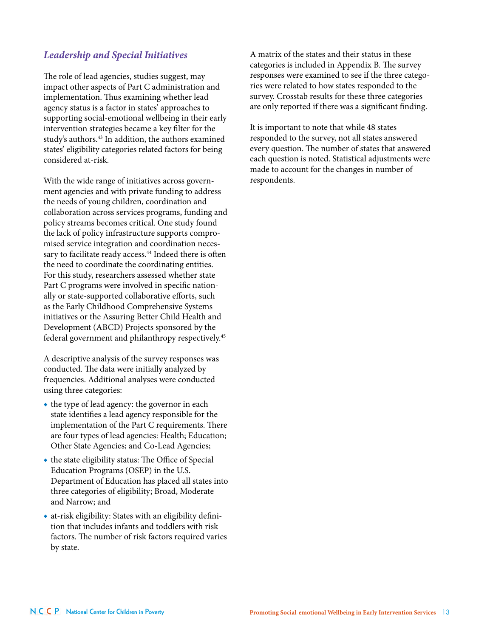## *Leadership and Special Initiatives*

The role of lead agencies, studies suggest, may impact other aspects of Part C administration and implementation. Thus examining whether lead agency status is a factor in states' approaches to supporting social-emotional wellbeing in their early intervention strategies became a key filter for the study's authors.<sup>43</sup> In addition, the authors examined states' eligibility categories related factors for being considered at-risk.

With the wide range of initiatives across government agencies and with private funding to address the needs of young children, coordination and collaboration across services programs, funding and policy streams becomes critical. One study found the lack of policy infrastructure supports compromised service integration and coordination necessary to facilitate ready access.<sup>44</sup> Indeed there is often the need to coordinate the coordinating entities. For this study, researchers assessed whether state Part C programs were involved in specific nationally or state-supported collaborative efforts, such as the Early Childhood Comprehensive Systems initiatives or the Assuring Better Child Health and Development (ABCD) Projects sponsored by the federal government and philanthropy respectively.45

A descriptive analysis of the survey responses was conducted. The data were initially analyzed by frequencies. Additional analyses were conducted using three categories:

- ◆ the type of lead agency: the governor in each state identifies a lead agency responsible for the implementation of the Part C requirements. There are four types of lead agencies: Health; Education; Other State Agencies; and Co-Lead Agencies;
- ◆ the state eligibility status: The Office of Special Education Programs (OSEP) in the U.S. Department of Education has placed all states into three categories of eligibility; Broad, Moderate and Narrow; and
- ◆ at-risk eligibility: States with an eligibility definition that includes infants and toddlers with risk factors. The number of risk factors required varies by state.

A matrix of the states and their status in these categories is included in Appendix B. The survey responses were examined to see if the three categories were related to how states responded to the survey. Crosstab results for these three categories are only reported if there was a significant finding.

It is important to note that while 48 states responded to the survey, not all states answered every question. The number of states that answered each question is noted. Statistical adjustments were made to account for the changes in number of respondents.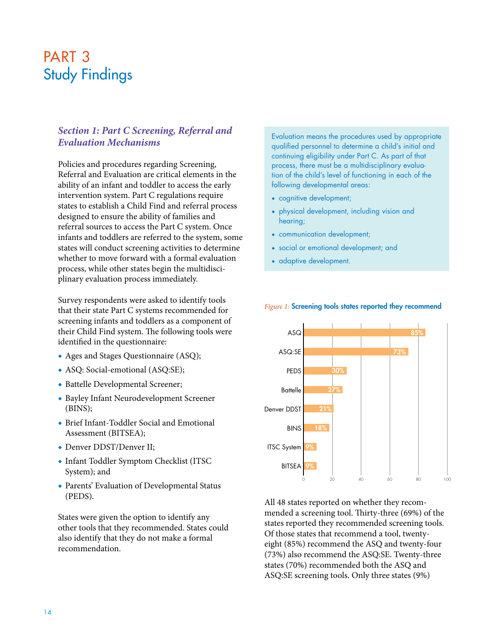## PART<sub>3</sub> Study Findings

## *Section 1: Part C Screening, Referral and Evaluation Mechanisms*

Policies and procedures regarding Screening, Referral and Evaluation are critical elements in the ability of an infant and toddler to access the early intervention system. Part C regulations require states to establish a Child Find and referral process designed to ensure the ability of families and referral sources to access the Part C system. Once infants and toddlers are referred to the system, some states will conduct screening activities to determine whether to move forward with a formal evaluation process, while other states begin the multidisciplinary evaluation process immediately.

Survey respondents were asked to identify tools that their state Part C systems recommended for screening infants and toddlers as a component of their Child Find system. The following tools were identified in the questionnaire:

- ◆ Ages and Stages Questionnaire (ASQ);
- ◆ ASQ: Social-emotional (ASQ:SE);
- ◆ Battelle Developmental Screener;
- ◆ Bayley Infant Neurodevelopment Screener (BINS);
- ◆ Brief Infant-Toddler Social and Emotional Assessment (BITSEA);
- ◆ Denver DDST/Denver II;
- ◆ Infant Toddler Symptom Checklist (ITSC System); and
- ◆ Parents' Evaluation of Developmental Status (PEDS).

States were given the option to identify any other tools that they recommended. States could also identify that they do not make a formal recommendation.

Evaluation means the procedures used by appropriate qualified personnel to determine a child's initial and continuing eligibility under Part C. As part of that process, there must be a multidisciplinary evaluation of the child's level of functioning in each of the following developmental areas:

- ◆ cognitive development;
- ◆ physical development, including vision and hearing;
- ◆ communication development;
- ◆ social or emotional development; and
- ◆ adaptive development.



#### *Figure 1:* Screening tools states reported they recommend

All 48 states reported on whether they recommended a screening tool. Thirty-three (69%) of the states reported they recommended screening tools. Of those states that recommend a tool, twentyeight (85%) recommend the ASQ and twenty-four (73%) also recommend the ASQ:SE. Twenty-three states (70%) recommended both the ASQ and ASQ:SE screening tools. Only three states (9%)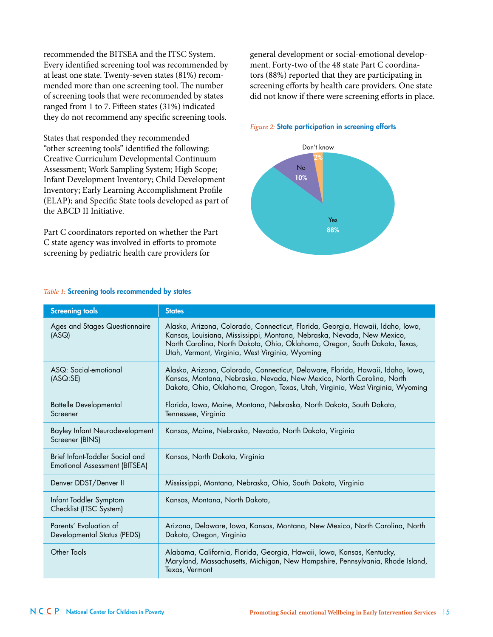recommended the BITSEA and the ITSC System. Every identified screening tool was recommended by at least one state. Twenty-seven states (81%) recommended more than one screening tool. The number of screening tools that were recommended by states ranged from 1 to 7. Fifteen states (31%) indicated they do not recommend any specific screening tools.

States that responded they recommended "other screening tools" identified the following: Creative Curriculum Developmental Continuum Assessment; Work Sampling System; High Scope; Infant Development Inventory; Child Development Inventory; Early Learning Accomplishment Profile (ELAP); and Specific State tools developed as part of the ABCD II Initiative.

Part C coordinators reported on whether the Part C state agency was involved in efforts to promote screening by pediatric health care providers for

general development or social-emotional development. Forty-two of the 48 state Part C coordinators (88%) reported that they are participating in screening efforts by health care providers. One state did not know if there were screening efforts in place.

#### *Figure 2:* State participation in screening efforts



| <b>Screening tools</b>                                                  | <b>States</b>                                                                                                                                                                                                                                                                             |
|-------------------------------------------------------------------------|-------------------------------------------------------------------------------------------------------------------------------------------------------------------------------------------------------------------------------------------------------------------------------------------|
| Ages and Stages Questionnaire<br>(ASQ)                                  | Alaska, Arizona, Colorado, Connecticut, Florida, Georgia, Hawaii, Idaho, Iowa,<br>Kansas, Louisiana, Mississippi, Montana, Nebraska, Nevada, New Mexico,<br>North Carolina, North Dakota, Ohio, Oklahoma, Oregon, South Dakota, Texas,<br>Utah, Vermont, Virginia, West Virginia, Wyoming |
| ASQ: Social-emotional<br>(ASQ:SE)                                       | Alaska, Arizona, Colorado, Connecticut, Delaware, Florida, Hawaii, Idaho, Iowa,<br>Kansas, Montana, Nebraska, Nevada, New Mexico, North Carolina, North<br>Dakota, Ohio, Oklahoma, Oregon, Texas, Utah, Virginia, West Virginia, Wyoming                                                  |
| <b>Battelle Developmental</b><br>Screener                               | Florida, Iowa, Maine, Montana, Nebraska, North Dakota, South Dakota,<br>Tennessee, Virginia                                                                                                                                                                                               |
| <b>Bayley Infant Neurodevelopment</b><br>Screener (BINS)                | Kansas, Maine, Nebraska, Nevada, North Dakota, Virginia                                                                                                                                                                                                                                   |
| Brief Infant-Toddler Social and<br><b>Emotional Assessment (BITSEA)</b> | Kansas, North Dakota, Virginia                                                                                                                                                                                                                                                            |
| Denver DDST/Denver II                                                   | Mississippi, Montana, Nebraska, Ohio, South Dakota, Virginia                                                                                                                                                                                                                              |
| Infant Toddler Symptom<br>Checklist (ITSC System)                       | Kansas, Montana, North Dakota,                                                                                                                                                                                                                                                            |
| Parents' Evaluation of<br>Developmental Status (PEDS)                   | Arizona, Delaware, Iowa, Kansas, Montana, New Mexico, North Carolina, North<br>Dakota, Oregon, Virginia                                                                                                                                                                                   |
| Other Tools                                                             | Alabama, California, Florida, Georgia, Hawaii, Iowa, Kansas, Kentucky,<br>Maryland, Massachusetts, Michigan, New Hampshire, Pennsylvania, Rhode Island,<br>Texas, Vermont                                                                                                                 |

#### *Table 1:* Screening tools recommended by states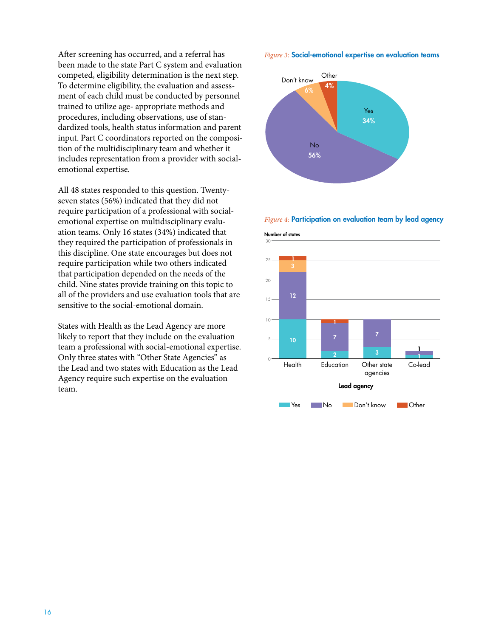After screening has occurred, and a referral has been made to the state Part C system and evaluation competed, eligibility determination is the next step. To determine eligibility, the evaluation and assessment of each child must be conducted by personnel trained to utilize age- appropriate methods and procedures, including observations, use of standardized tools, health status information and parent input. Part C coordinators reported on the composition of the multidisciplinary team and whether it includes representation from a provider with socialemotional expertise.

All 48 states responded to this question. Twentyseven states (56%) indicated that they did not require participation of a professional with socialemotional expertise on multidisciplinary evaluation teams. Only 16 states (34%) indicated that they required the participation of professionals in this discipline. One state encourages but does not require participation while two others indicated that participation depended on the needs of the child. Nine states provide training on this topic to all of the providers and use evaluation tools that are sensitive to the social-emotional domain.

States with Health as the Lead Agency are more likely to report that they include on the evaluation team a professional with social-emotional expertise. Only three states with "Other State Agencies" as the Lead and two states with Education as the Lead Agency require such expertise on the evaluation team.

*Figure 3:* Social-emotional expertise on evaluation teams



*Figure 4:* Participation on evaluation team by lead agency

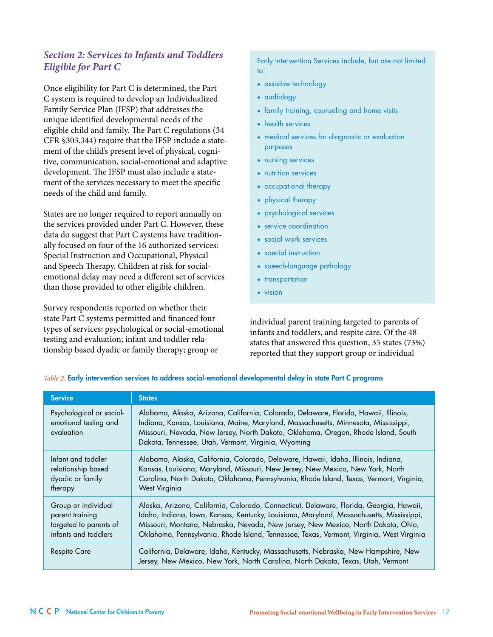## *Section 2: Services to Infants and Toddlers Eligible for Part C*

Once eligibility for Part C is determined, the Part C system is required to develop an Individualized Family Service Plan (IFSP) that addresses the unique identified developmental needs of the eligible child and family. The Part C regulations (34 CFR §303.344) require that the IFSP include a statement of the child's present level of physical, cognitive, communication, social-emotional and adaptive development. The IFSP must also include a statement of the services necessary to meet the specific needs of the child and family.

States are no longer required to report annually on the services provided under Part C. However, these data do suggest that Part C systems have traditionally focused on four of the 16 authorized services: Special Instruction and Occupational, Physical and Speech Therapy. Children at risk for socialemotional delay may need a different set of services than those provided to other eligible children.

Survey respondents reported on whether their state Part C systems permitted and financed four types of services: psychological or social-emotional testing and evaluation; infant and toddler relationship based dyadic or family therapy; group or

Early Intervention Services include, but are not limited to:

- ◆ assistive technology
- ◆ audiology
- ◆ family training, counseling and home visits
- ◆ health services
- ◆ medical services for diagnostic or evaluation purposes
- ◆ nursing services
- ◆ nutrition services
- ◆ occupational therapy
- ◆ physical therapy
- ◆ psychological services
- ◆ service coordination
- ◆ social work services
- ◆ special instruction
- ◆ speech-language pathology
- ◆ transportation
- ◆ vision

individual parent training targeted to parents of infants and toddlers, and respite care. Of the 48 states that answered this question, 35 states (73%) reported that they support group or individual

| <b>Service</b>                                                                           | <b>States</b>                                                                                                                                                                                                                                                                                                                                                       |
|------------------------------------------------------------------------------------------|---------------------------------------------------------------------------------------------------------------------------------------------------------------------------------------------------------------------------------------------------------------------------------------------------------------------------------------------------------------------|
| Psychological or social-<br>emotional testing and<br>evaluation                          | Alabama, Alaska, Arizona, California, Colorado, Delaware, Florida, Hawaii, Illinois,<br>Indiana, Kansas, Louisiana, Maine, Maryland, Massachusetts, Minnesota, Mississippi,<br>Missouri, Nevada, New Jersey, North Dakota, Oklahoma, Oregon, Rhode Island, South<br>Dakota, Tennessee, Utah, Vermont, Virginia, Wyoming                                             |
| Infant and toddler<br>relationship based<br>dyadic or family<br>therapy                  | Alabama, Alaska, California, Colorado, Delaware, Hawaii, Idaho, Illinois, Indiana,<br>Kansas, Louisiana, Maryland, Missouri, New Jersey, New Mexico, New York, North<br>Carolina, North Dakota, Oklahoma, Pennsylvania, Rhode Island, Texas, Vermont, Virginia,<br><b>West Virginia</b>                                                                             |
| Group or individual<br>parent training<br>targeted to parents of<br>infants and toddlers | Alaska, Arizona, California, Colorado, Connecticut, Delaware, Florida, Georgia, Hawaii,<br>Idaho, Indiana, Iowa, Kansas, Kentucky, Louisiana, Maryland, Massachusetts, Mississippi,<br>Missouri, Montana, Nebraska, Nevada, New Jersey, New Mexico, North Dakota, Ohio,<br>Oklahoma, Pennsylvania, Rhode Island, Tennessee, Texas, Vermont, Virginia, West Virginia |
| <b>Respite Care</b>                                                                      | California, Delaware, Idaho, Kentucky, Massachusetts, Nebraska, New Hampshire, New<br>Jersey, New Mexico, New York, North Carolina, North Dakota, Texas, Utah, Vermont                                                                                                                                                                                              |

*Table 2:* Early intervention services to address social-emotional developmental delay in state Part C programs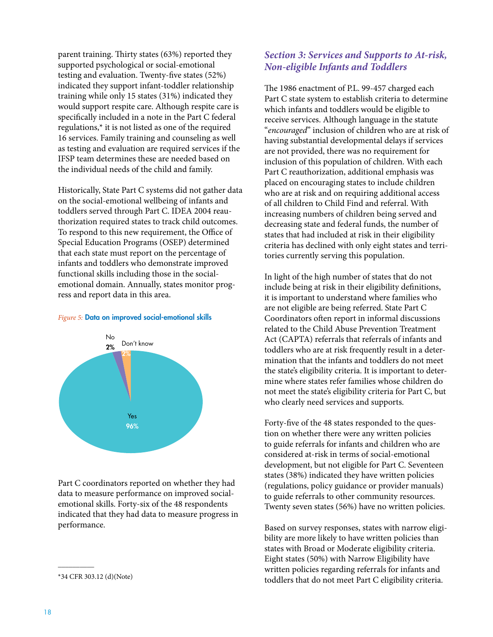parent training. Thirty states (63%) reported they supported psychological or social-emotional testing and evaluation. Twenty-five states (52%) indicated they support infant-toddler relationship training while only 15 states (31%) indicated they would support respite care. Although respite care is specifically included in a note in the Part C federal regulations,\* it is not listed as one of the required 16 services. Family training and counseling as well as testing and evaluation are required services if the IFSP team determines these are needed based on the individual needs of the child and family.

Historically, State Part C systems did not gather data on the social-emotional wellbeing of infants and toddlers served through Part C. IDEA 2004 reauthorization required states to track child outcomes. To respond to this new requirement, the Office of Special Education Programs (OSEP) determined that each state must report on the percentage of infants and toddlers who demonstrate improved functional skills including those in the socialemotional domain. Annually, states monitor progress and report data in this area.



#### *Figure 5:* Data on improved social-emotional skills

Part C coordinators reported on whether they had data to measure performance on improved socialemotional skills. Forty-six of the 48 respondents indicated that they had data to measure progress in performance.

 $\overline{\phantom{a}}$ 

### *Section 3: Services and Supports to At-risk, Non-eligible Infants and Toddlers*

The 1986 enactment of P.L. 99-457 charged each Part C state system to establish criteria to determine which infants and toddlers would be eligible to receive services. Although language in the statute "*encouraged*" inclusion of children who are at risk of having substantial developmental delays if services are not provided, there was no requirement for inclusion of this population of children. With each Part C reauthorization, additional emphasis was placed on encouraging states to include children who are at risk and on requiring additional access of all children to Child Find and referral. With increasing numbers of children being served and decreasing state and federal funds, the number of states that had included at risk in their eligibility criteria has declined with only eight states and territories currently serving this population.

In light of the high number of states that do not include being at risk in their eligibility definitions, it is important to understand where families who are not eligible are being referred. State Part C Coordinators often report in informal discussions related to the Child Abuse Prevention Treatment Act (CAPTA) referrals that referrals of infants and toddlers who are at risk frequently result in a determination that the infants and toddlers do not meet the state's eligibility criteria. It is important to determine where states refer families whose children do not meet the state's eligibility criteria for Part C, but who clearly need services and supports.

Forty-five of the 48 states responded to the question on whether there were any written policies to guide referrals for infants and children who are considered at-risk in terms of social-emotional development, but not eligible for Part C. Seventeen states (38%) indicated they have written policies (regulations, policy guidance or provider manuals) to guide referrals to other community resources. Twenty seven states (56%) have no written policies.

Based on survey responses, states with narrow eligibility are more likely to have written policies than states with Broad or Moderate eligibility criteria. Eight states (50%) with Narrow Eligibility have written policies regarding referrals for infants and toddlers that do not meet Part C eligibility criteria.

<sup>\*34</sup> CFR 303.12 (d)(Note)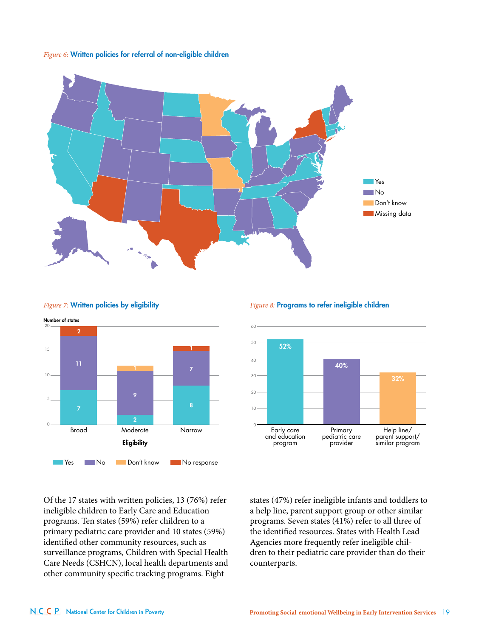#### *Figure 6:* Written policies for referral of non-eligible children





#### **Figure 7: Written policies by eligibility**

#### 0 10 20  $\overline{30}$  $40$ 50 60 Help line/ parent support/ similar program Primary pediatric care provider Early care and education program 32% 40% 52%

*Figure 8:* Programs to refer ineligible children

Of the 17 states with written policies, 13 (76%) refer ineligible children to Early Care and Education programs. Ten states (59%) refer children to a primary pediatric care provider and 10 states (59%) identified other community resources, such as surveillance programs, Children with Special Health Care Needs (CSHCN), local health departments and other community specific tracking programs. Eight

states (47%) refer ineligible infants and toddlers to a help line, parent support group or other similar programs. Seven states (41%) refer to all three of the identified resources. States with Health Lead Agencies more frequently refer ineligible children to their pediatric care provider than do their counterparts.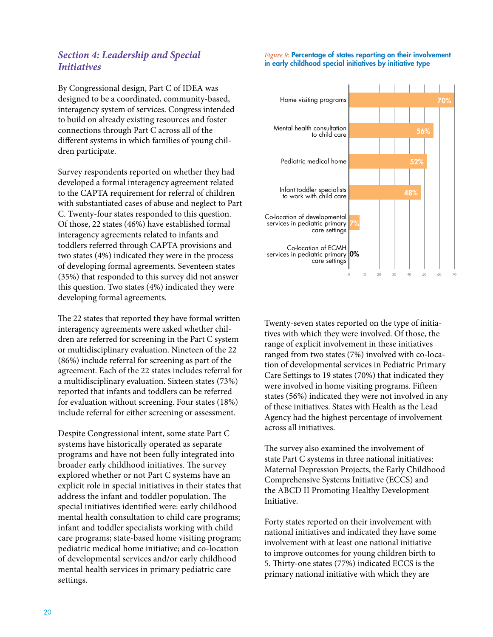## *Section 4: Leadership and Special Initiatives*

By Congressional design, Part C of IDEA was designed to be a coordinated, community-based, interagency system of services. Congress intended to build on already existing resources and foster connections through Part C across all of the different systems in which families of young children participate.

Survey respondents reported on whether they had developed a formal interagency agreement related to the CAPTA requirement for referral of children with substantiated cases of abuse and neglect to Part C. Twenty-four states responded to this question. Of those, 22 states (46%) have established formal interagency agreements related to infants and toddlers referred through CAPTA provisions and two states (4%) indicated they were in the process of developing formal agreements. Seventeen states (35%) that responded to this survey did not answer this question. Two states (4%) indicated they were developing formal agreements.

The 22 states that reported they have formal written interagency agreements were asked whether children are referred for screening in the Part C system or multidisciplinary evaluation. Nineteen of the 22 (86%) include referral for screening as part of the agreement. Each of the 22 states includes referral for a multidisciplinary evaluation. Sixteen states (73%) reported that infants and toddlers can be referred for evaluation without screening. Four states (18%) include referral for either screening or assessment.

Despite Congressional intent, some state Part C systems have historically operated as separate programs and have not been fully integrated into broader early childhood initiatives. The survey explored whether or not Part C systems have an explicit role in special initiatives in their states that address the infant and toddler population. The special initiatives identified were: early childhood mental health consultation to child care programs; infant and toddler specialists working with child care programs; state-based home visiting program; pediatric medical home initiative; and co-location of developmental services and/or early childhood mental health services in primary pediatric care settings.

#### *Figure 9:* Percentage of states reporting on their involvement in early childhood special initiatives by initiative type



Twenty-seven states reported on the type of initiatives with which they were involved. Of those, the range of explicit involvement in these initiatives ranged from two states (7%) involved with co-location of developmental services in Pediatric Primary Care Settings to 19 states (70%) that indicated they were involved in home visiting programs. Fifteen states (56%) indicated they were not involved in any of these initiatives. States with Health as the Lead Agency had the highest percentage of involvement across all initiatives.

The survey also examined the involvement of state Part C systems in three national initiatives: Maternal Depression Projects, the Early Childhood Comprehensive Systems Initiative (ECCS) and the ABCD II Promoting Healthy Development Initiative.

Forty states reported on their involvement with national initiatives and indicated they have some involvement with at least one national initiative to improve outcomes for young children birth to 5. Thirty-one states (77%) indicated ECCS is the primary national initiative with which they are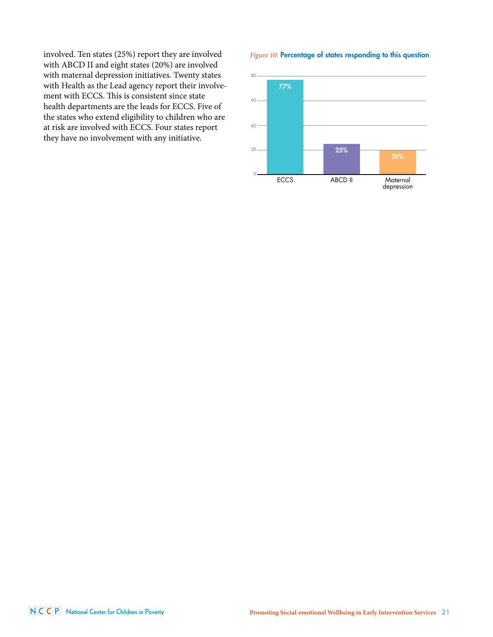involved. Ten states (25%) report they are involved with ABCD II and eight states (20%) are involved with maternal depression initiatives. Twenty states with Health as the Lead agency report their involvement with ECCS. This is consistent since state health departments are the leads for ECCS. Five of the states who extend eligibility to children who are at risk are involved with ECCS. Four states report they have no involvement with any initiative.

#### *Figure 10:* Percentage of states responding to this question

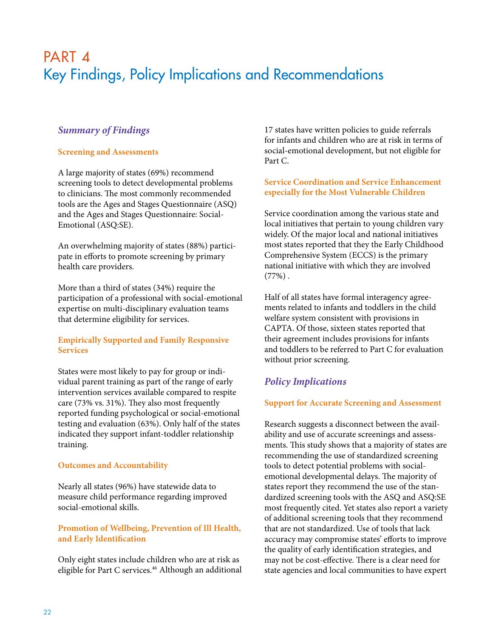## PART 4 Key Findings, Policy Implications and Recommendations

## *Summary of Findings*

#### **Screening and Assessments**

A large majority of states (69%) recommend screening tools to detect developmental problems to clinicians. The most commonly recommended tools are the Ages and Stages Questionnaire (ASQ) and the Ages and Stages Questionnaire: Social-Emotional (ASQ:SE).

An overwhelming majority of states (88%) participate in efforts to promote screening by primary health care providers.

More than a third of states (34%) require the participation of a professional with social-emotional expertise on multi-disciplinary evaluation teams that determine eligibility for services.

#### **Empirically Supported and Family Responsive Services**

States were most likely to pay for group or individual parent training as part of the range of early intervention services available compared to respite care (73% vs. 31%). They also most frequently reported funding psychological or social-emotional testing and evaluation (63%). Only half of the states indicated they support infant-toddler relationship training.

#### **Outcomes and Accountability**

Nearly all states (96%) have statewide data to measure child performance regarding improved social-emotional skills.

#### **Promotion of Wellbeing, Prevention of Ill Health, and Early Identification**

Only eight states include children who are at risk as eligible for Part C services.<sup>46</sup> Although an additional 17 states have written policies to guide referrals for infants and children who are at risk in terms of social-emotional development, but not eligible for Part C.

#### **Service Coordination and Service Enhancement especially for the Most Vulnerable Children**

Service coordination among the various state and local initiatives that pertain to young children vary widely. Of the major local and national initiatives most states reported that they the Early Childhood Comprehensive System (ECCS) is the primary national initiative with which they are involved  $(77\%)$ .

Half of all states have formal interagency agreements related to infants and toddlers in the child welfare system consistent with provisions in CAPTA. Of those, sixteen states reported that their agreement includes provisions for infants and toddlers to be referred to Part C for evaluation without prior screening.

## *Policy Implications*

#### **Support for Accurate Screening and Assessment**

Research suggests a disconnect between the availability and use of accurate screenings and assessments. This study shows that a majority of states are recommending the use of standardized screening tools to detect potential problems with socialemotional developmental delays. The majority of states report they recommend the use of the standardized screening tools with the ASQ and ASQ:SE most frequently cited. Yet states also report a variety of additional screening tools that they recommend that are not standardized. Use of tools that lack accuracy may compromise states' efforts to improve the quality of early identification strategies, and may not be cost-effective. There is a clear need for state agencies and local communities to have expert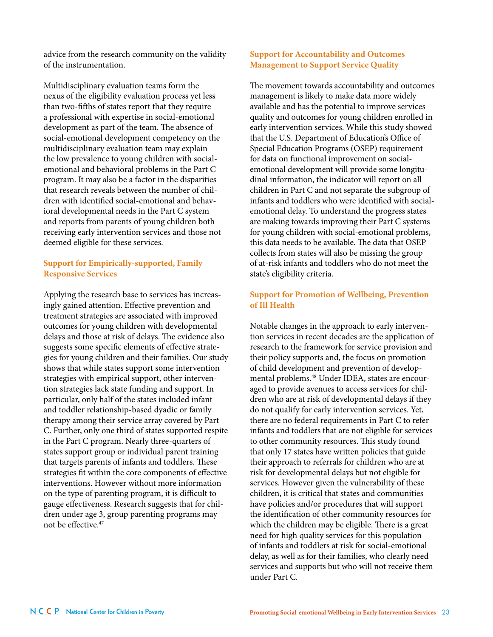advice from the research community on the validity of the instrumentation.

Multidisciplinary evaluation teams form the nexus of the eligibility evaluation process yet less than two-fifths of states report that they require a professional with expertise in social-emotional development as part of the team. The absence of social-emotional development competency on the multidisciplinary evaluation team may explain the low prevalence to young children with socialemotional and behavioral problems in the Part C program. It may also be a factor in the disparities that research reveals between the number of children with identified social-emotional and behavioral developmental needs in the Part C system and reports from parents of young children both receiving early intervention services and those not deemed eligible for these services.

#### **Support for Empirically-supported, Family Responsive Services**

Applying the research base to services has increasingly gained attention. Effective prevention and treatment strategies are associated with improved outcomes for young children with developmental delays and those at risk of delays. The evidence also suggests some specific elements of effective strategies for young children and their families. Our study shows that while states support some intervention strategies with empirical support, other intervention strategies lack state funding and support. In particular, only half of the states included infant and toddler relationship-based dyadic or family therapy among their service array covered by Part C. Further, only one third of states supported respite in the Part C program. Nearly three-quarters of states support group or individual parent training that targets parents of infants and toddlers. These strategies fit within the core components of effective interventions. However without more information on the type of parenting program, it is difficult to gauge effectiveness. Research suggests that for children under age 3, group parenting programs may not be effective.47

#### **Support for Accountability and Outcomes Management to Support Service Quality**

The movement towards accountability and outcomes management is likely to make data more widely available and has the potential to improve services quality and outcomes for young children enrolled in early intervention services. While this study showed that the U.S. Department of Education's Office of Special Education Programs (OSEP) requirement for data on functional improvement on socialemotional development will provide some longitudinal information, the indicator will report on all children in Part C and not separate the subgroup of infants and toddlers who were identified with socialemotional delay. To understand the progress states are making towards improving their Part C systems for young children with social-emotional problems, this data needs to be available. The data that OSEP collects from states will also be missing the group of at-risk infants and toddlers who do not meet the state's eligibility criteria.

### **Support for Promotion of Wellbeing, Prevention of Ill Health**

Notable changes in the approach to early intervention services in recent decades are the application of research to the framework for service provision and their policy supports and, the focus on promotion of child development and prevention of developmental problems.<sup>48</sup> Under IDEA, states are encouraged to provide avenues to access services for children who are at risk of developmental delays if they do not qualify for early intervention services. Yet, there are no federal requirements in Part C to refer infants and toddlers that are not eligible for services to other community resources. This study found that only 17 states have written policies that guide their approach to referrals for children who are at risk for developmental delays but not eligible for services. However given the vulnerability of these children, it is critical that states and communities have policies and/or procedures that will support the identification of other community resources for which the children may be eligible. There is a great need for high quality services for this population of infants and toddlers at risk for social-emotional delay, as well as for their families, who clearly need services and supports but who will not receive them under Part C.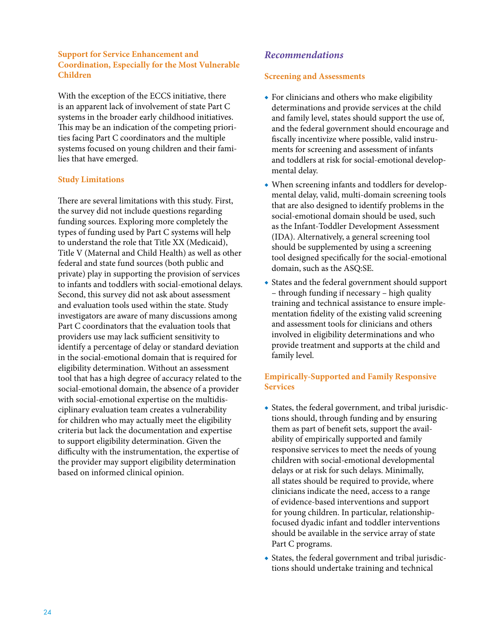#### **Support for Service Enhancement and Coordination, Especially for the Most Vulnerable Children**

With the exception of the ECCS initiative, there is an apparent lack of involvement of state Part C systems in the broader early childhood initiatives. This may be an indication of the competing priorities facing Part C coordinators and the multiple systems focused on young children and their families that have emerged.

#### **Study Limitations**

There are several limitations with this study. First, the survey did not include questions regarding funding sources. Exploring more completely the types of funding used by Part C systems will help to understand the role that Title XX (Medicaid), Title V (Maternal and Child Health) as well as other federal and state fund sources (both public and private) play in supporting the provision of services to infants and toddlers with social-emotional delays. Second, this survey did not ask about assessment and evaluation tools used within the state. Study investigators are aware of many discussions among Part C coordinators that the evaluation tools that providers use may lack sufficient sensitivity to identify a percentage of delay or standard deviation in the social-emotional domain that is required for eligibility determination. Without an assessment tool that has a high degree of accuracy related to the social-emotional domain, the absence of a provider with social-emotional expertise on the multidisciplinary evaluation team creates a vulnerability for children who may actually meet the eligibility criteria but lack the documentation and expertise to support eligibility determination. Given the difficulty with the instrumentation, the expertise of the provider may support eligibility determination based on informed clinical opinion.

## *Recommendations*

#### **Screening and Assessments**

- ◆ For clinicians and others who make eligibility determinations and provide services at the child and family level, states should support the use of, and the federal government should encourage and fiscally incentivize where possible, valid instruments for screening and assessment of infants and toddlers at risk for social-emotional developmental delay.
- ◆ When screening infants and toddlers for developmental delay, valid, multi-domain screening tools that are also designed to identify problems in the social-emotional domain should be used, such as the Infant-Toddler Development Assessment (IDA). Alternatively, a general screening tool should be supplemented by using a screening tool designed specifically for the social-emotional domain, such as the ASQ:SE.
- ◆ States and the federal government should support – through funding if necessary – high quality training and technical assistance to ensure implementation fidelity of the existing valid screening and assessment tools for clinicians and others involved in eligibility determinations and who provide treatment and supports at the child and family level.

### **Empirically-Supported and Family Responsive Services**

- ◆ States, the federal government, and tribal jurisdictions should, through funding and by ensuring them as part of benefit sets, support the availability of empirically supported and family responsive services to meet the needs of young children with social-emotional developmental delays or at risk for such delays. Minimally, all states should be required to provide, where clinicians indicate the need, access to a range of evidence-based interventions and support for young children. In particular, relationshipfocused dyadic infant and toddler interventions should be available in the service array of state Part C programs.
- ◆ States, the federal government and tribal jurisdictions should undertake training and technical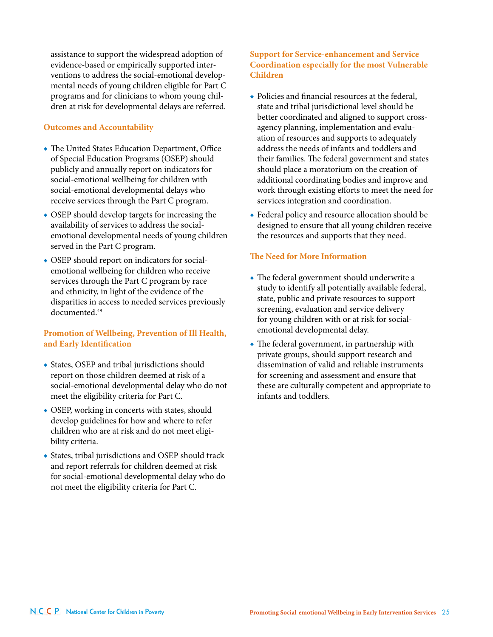assistance to support the widespread adoption of evidence-based or empirically supported interventions to address the social-emotional developmental needs of young children eligible for Part C programs and for clinicians to whom young children at risk for developmental delays are referred.

#### **Outcomes and Accountability**

- ◆ The United States Education Department, Office of Special Education Programs (OSEP) should publicly and annually report on indicators for social-emotional wellbeing for children with social-emotional developmental delays who receive services through the Part C program.
- OSEP should develop targets for increasing the availability of services to address the socialemotional developmental needs of young children served in the Part C program.
- ◆ OSEP should report on indicators for socialemotional wellbeing for children who receive services through the Part C program by race and ethnicity, in light of the evidence of the disparities in access to needed services previously documented.49

#### **Promotion of Wellbeing, Prevention of Ill Health, and Early Identification**

- ◆ States, OSEP and tribal jurisdictions should report on those children deemed at risk of a social-emotional developmental delay who do not meet the eligibility criteria for Part C.
- ◆ OSEP, working in concerts with states, should develop guidelines for how and where to refer children who are at risk and do not meet eligibility criteria.
- ◆ States, tribal jurisdictions and OSEP should track and report referrals for children deemed at risk for social-emotional developmental delay who do not meet the eligibility criteria for Part C.

#### **Support for Service-enhancement and Service Coordination especially for the most Vulnerable Children**

- ◆ Policies and financial resources at the federal, state and tribal jurisdictional level should be better coordinated and aligned to support crossagency planning, implementation and evaluation of resources and supports to adequately address the needs of infants and toddlers and their families. The federal government and states should place a moratorium on the creation of additional coordinating bodies and improve and work through existing efforts to meet the need for services integration and coordination.
- ◆ Federal policy and resource allocation should be designed to ensure that all young children receive the resources and supports that they need.

#### **The Need for More Information**

- ◆ The federal government should underwrite a study to identify all potentially available federal, state, public and private resources to support screening, evaluation and service delivery for young children with or at risk for socialemotional developmental delay.
- ◆ The federal government, in partnership with private groups, should support research and dissemination of valid and reliable instruments for screening and assessment and ensure that these are culturally competent and appropriate to infants and toddlers.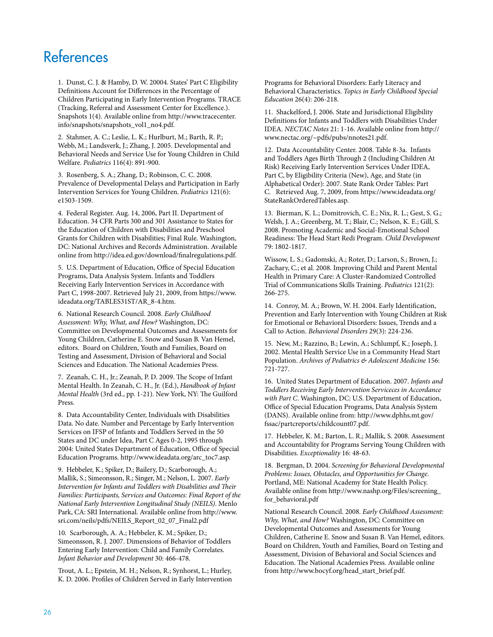## References

1. Dunst, C. J. & Hamby, D. W. 20004. States' Part C Eligibility Definitions Account for Differences in the Percentage of Children Participating in Early Intervention Programs. TRACE (Tracking, Referral and Assessment Center for Excellence.). Snapshots 1(4). Available online from http://www.tracecenter. info/snapshots/snapshots\_vol1\_no4.pdf.

2. Stahmer, A. C.; Leslie, L. K.; Hurlburt, M.; Barth, R. P.; Webb, M.; Landsverk, J.; Zhang, J. 2005. Developmental and Behavioral Needs and Service Use for Young Children in Child Welfare. *Pediatrics* 116(4): 891-900.

3. Rosenberg, S. A.; Zhang, D.; Robinson, C. C. 2008. Prevalence of Developmental Delays and Participation in Early Intervention Services for Young Children. *Pediatrics* 121(6): e1503-1509.

4. Federal Register. Aug. 14, 2006, Part II. Department of Education. 34 CFR Parts 300 and 301 Assistance to States for the Education of Children with Disabilities and Preschool Grants for Children with Disabilities; Final Rule. Washington, DC: National Archives and Records Administration. Available online from http://idea.ed.gov/download/finalregulations.pdf.

5. U.S. Department of Education, Office of Special Education Programs, Data Analysis System. Infants and Toddlers Receiving Early Intervention Services in Accordance with Part C, 1998-2007. Retrieved July 21, 2009, from https://www. ideadata.org/TABLES31ST/AR\_8-4.htm.

6. National Research Council. 2008. *Early Childhood Assessment: Why, What, and How?* Washington, DC: Committee on Developmental Outcomes and Assessments for Young Children, Catherine E. Snow and Susan B. Van Hemel, editors. Board on Children, Youth and Families, Board on Testing and Assessment, Division of Behavioral and Social Sciences and Education. The National Academies Press.

7. Zeanah, C. H., Jr.; Zeanah, P. D. 2009. The Scope of Infant Mental Health. In Zeanah, C. H., Jr. (Ed.), *Handbook of Infant Mental Health* (3rd ed., pp. 1-21). New York, NY: The Guilford Press.

8. Data Accountability Center, Individuals with Disabilities Data. No date. Number and Percentage by Early Intervention Services on IFSP of Infants and Toddlers Served in the 50 States and DC under Idea, Part C Ages 0-2, 1995 through 2004: United States Department of Education, Office of Special Education Programs. http://www.ideadata.org/arc\_toc7.asp.

9. Hebbeler, K.; Spiker, D.; Bailery, D.; Scarborough, A.; Mallik, S.; Simeonsson, R.; Singer, M.; Nelson, L. 2007. *Early Intervention for Infants and Toddlers with Disabilities and Their Families: Participants, Services and Outcomes: Final Report of the National Early Intervention Longitudinal Study (NEILS)*. Menlo Park, CA: SRI International. Available online from http://www. sri.com/neils/pdfs/NEILS\_Report\_02\_07\_Final2.pdf

10. Scarborough, A. A.; Hebbeler, K. M.; Spiker, D.; Simeonsson, R. J. 2007. Dimensions of Behavior of Toddlers Entering Early Intervention: Child and Family Correlates. *Infant Behavior and Development* 30: 466-478.

Trout, A. L.; Epstein, M. H.; Nelson, R.; Synhorst, L.; Hurley, K. D. 2006. Profiles of Children Served in Early Intervention Programs for Behavioral Disorders: Early Literacy and Behavioral Characteristics. *Topics in Early Childhood Special Education* 26(4): 206-218.

11. Shackelford, J. 2006. State and Jurisdictional Eligibility Definitions for Infants and Toddlers with Disabilities Under IDEA. *NECTAC Notes* 21: 1-16. Available online from http:// www.nectac.org/~pdfs/pubs/nnotes21.pdf.

12. Data Accountability Center. 2008. Table 8-3a. Infants and Toddlers Ages Birth Through 2 (Including Children At Risk) Receiving Early Intervention Services Under IDEA, Part C, by Eligibility Criteria (New), Age, and State (in Alphabetical Order): 2007. State Rank Order Tables: Part C. Retrieved Aug. 7, 2009, from https://www.ideadata.org/ StateRankOrderedTables.asp.

13. Bierman, K. L.; Domitrovich, C. E.; Nix, R. L.; Gest, S. G.; Welsh, J. A.; Greenberg, M. T.; Blair, C.; Nelson, K. E.; Gill, S. 2008. Promoting Academic and Social-Emotional School Readiness: The Head Start Redi Program. *Child Development*  79: 1802-1817.

Wissow, L. S.; Gadomski, A.; Roter, D.; Larson, S.; Brown, J.; Zachary, C.; et al. 2008. Improving Child and Parent Mental Health in Primary Care: A Cluster-Randomized Controlled Trial of Communications Skills Training. *Pediatrics* 121(2): 266-275.

14. Conroy, M. A.; Brown, W. H. 2004. Early Identification, Prevention and Early Intervention with Young Children at Risk for Emotional or Behavioral Disorders: Issues, Trends and a Call to Action. *Behavioral Disorders* 29(3): 224-236.

15. New, M.; Razzino, B.; Lewin, A.; Schlumpf, K.; Joseph, J. 2002. Mental Health Service Use in a Community Head Start Population. *Archives of Pediatrics & Adolescent Medicine* 156: 721-727.

16. United States Department of Education. 2007. *Infants and Toddlers Receiving Early Intervention Serviceces in Accordance with Part C*. Washington, DC: U.S. Department of Education, Office of Special Education Programs, Data Analysis System (DANS). Available online from: http://www.dphhs.mt.gov/ fssac/partcreports/childcount07.pdf.

17. Hebbeler, K. M.; Barton, L. R.; Mallik, S. 2008. Assessment and Accountability for Programs Serving Young Children with Disabilities. *Exceptionality* 16: 48-63.

18. Bergman, D. 2004. *Screening for Behavioral Developmental Problems: Issues, Obstacles, and Opportunities for Change*. Portland, ME: National Academy for State Health Policy. Available online from http://www.nashp.org/Files/screening\_ for\_behavioral.pdf

National Research Council. 2008. *Early Childhood Assessment: Why, What, and How?* Washington, DC: Committee on Developmental Outcomes and Assessments for Young Children, Catherine E. Snow and Susan B. Van Hemel, editors. Board on Children, Youth and Families, Board on Testing and Assessment, Division of Behavioral and Social Sciences and Education. The National Academies Press. Available online from http://www.bocyf.org/head\_start\_brief.pdf.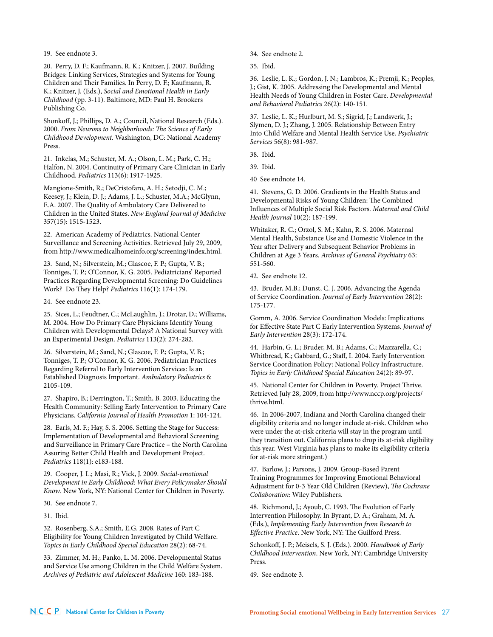19. See endnote 3.

20. Perry, D. F.; Kaufmann, R. K.; Knitzer, J. 2007. Building Bridges: Linking Services, Strategies and Systems for Young Children and Their Families. In Perry, D. F.; Kaufmann, R. K.; Knitzer, J. (Eds.), *Social and Emotional Health in Early Childhood* (pp. 3-11). Baltimore, MD: Paul H. Brookers Publishing Co.

Shonkoff, J.; Phillips, D. A.; Council, National Research (Eds.). 2000. *From Neurons to Neighborhoods: The Science of Early Childhood Development*. Washington, DC: National Academy Press.

21. Inkelas, M.; Schuster, M. A.; Olson, L. M.; Park, C. H.; Halfon, N. 2004. Continuity of Primary Care Clinician in Early Childhood. *Pediatrics* 113(6): 1917-1925.

Mangione-Smith, R.; DeCristofaro, A. H.; Setodji, C. M.; Keesey, J.; Klein, D. J.; Adams, J. L.; Schuster, M.A.; McGlynn, E.A. 2007. The Quality of Ambulatory Care Delivered to Children in the United States. *New England Journal of Medicine*  357(15): 1515-1523.

22. American Academy of Pediatrics. National Center Surveillance and Screening Activities. Retrieved July 29, 2009, from http://www.medicalhomeinfo.org/screening/index.html.

23. Sand, N.; Silverstein, M.; Glascoe, F. P.; Gupta, V. B.; Tonniges, T. P.; O'Connor, K. G. 2005. Pediatricians' Reported Practices Regarding Developmental Screening: Do Guidelines Work? Do They Help? *Pediatrics* 116(1): 174-179.

24. See endnote 23.

25. Sices, L.; Feudtner, C.; McLaughlin, J.; Drotar, D.; Williams, M. 2004. How Do Primary Care Physicians Identify Young Children with Developmental Delays? A National Survey with an Experimental Design. *Pediatrics* 113(2): 274-282.

26. Silverstein, M.; Sand, N.; Glascoe, F. P.; Gupta, V. B.; Tonniges, T. P.; O'Connor, K. G. 2006. Pediatrician Practices Regarding Referral to Early Intervention Services: Is an Established Diagnosis Important. *Ambulatory Pediatrics* 6: 2105-109.

27. Shapiro, B.; Derrington, T.; Smith, B. 2003. Educating the Health Community: Selling Early Intervention to Primary Care Physicians. *California Journal of Health Promotion* 1: 104-124.

28. Earls, M. F.; Hay, S. S. 2006. Setting the Stage for Success: Implementation of Developmental and Behavioral Screening and Surveillance in Primary Care Practice – the North Carolina Assuring Better Child Health and Development Project. *Pediatrics* 118(1): e183-188.

29. Cooper, J. L.; Masi, R.; Vick, J. 2009. *Social-emotional Development in Early Childhood: What Every Policymaker Should Know*. New York, NY: National Center for Children in Poverty.

30. See endnote 7.

31. Ibid.

32. Rosenberg, S.A.; Smith, E.G. 2008. Rates of Part C Eligibility for Young Children Investigated by Child Welfare. *Topics in Early Childhood Special Education* 28(2): 68-74.

33. Zimmer, M. H.; Panko, L. M. 2006. Developmental Status and Service Use among Children in the Child Welfare System. *Archives of Pediatric and Adolescent Medicine* 160: 183-188.

34. See endnote 2.

35. Ibid.

36. Leslie, L. K.; Gordon, J. N.; Lambros, K.; Premji, K.; Peoples, J.; Gist, K. 2005. Addressing the Developmental and Mental Health Needs of Young Children in Foster Care. *Developmental and Behavioral Pediatrics* 26(2): 140-151.

37. Leslie, L. K.; Hurlburt, M. S.; Sigrid, J.; Landsverk, J.; Slymen, D. J.; Zhang, J. 2005. Relationship Between Entry Into Child Welfare and Mental Health Service Use. *Psychiatric Services* 56(8): 981-987.

38. Ibid.

39. Ibid.

40 See endnote 14.

41. Stevens, G. D. 2006. Gradients in the Health Status and Developmental Risks of Young Children: The Combined Influences of Multiple Social Risk Factors. *Maternal and Child Health Journal* 10(2): 187-199.

Whitaker, R. C.; Orzol, S. M.; Kahn, R. S. 2006. Maternal Mental Health, Substance Use and Domestic Violence in the Year after Delivery and Subsequent Behavior Problems in Children at Age 3 Years. *Archives of General Psychiatry* 63: 551-560.

42. See endnote 12.

43. Bruder, M.B.; Dunst, C. J. 2006. Advancing the Agenda of Service Coordination. *Journal of Early Intervention* 28(2): 175-177.

Gomm, A. 2006. Service Coordination Models: Implications for Effective State Part C Early Intervention Systems. *Journal of Early Intervention* 28(3): 172-174.

44. Harbin, G. L.; Bruder, M. B.; Adams, C.; Mazzarella, C.; Whitbread, K.; Gabbard, G.; Staff, I. 2004. Early Intervention Service Coordination Policy: National Policy Infrastructure. *Topics in Early Childhood Special Education* 24(2): 89-97.

45. National Center for Children in Poverty. Project Thrive. Retrieved July 28, 2009, from http://www.nccp.org/projects/ thrive.html.

46. In 2006-2007, Indiana and North Carolina changed their eligibility criteria and no longer include at-risk. Children who were under the at-risk criteria will stay in the program until they transition out. California plans to drop its at-risk eligibility this year. West Virginia has plans to make its eligibility criteria for at-risk more stringent.)

47. Barlow, J.; Parsons, J. 2009. Group-Based Parent Training Programmes for Improving Emotional Behavioral Adjustment for 0-3 Year Old Children (Review), *The Cochrane Collaboration*: Wiley Publishers.

48. Richmond, J.; Ayoub, C. 1993. The Evolution of Early Intervention Philosophy. In Byrant, D. A.; Graham, M. A. (Eds.), *Implementing Early Intervention from Research to Effective Practice*. New York, NY: The Guilford Press.

Schonkoff, J. P.; Meisels, S. J. (Eds.). 2000. *Handbook of Early Childhood Intervention*. New York, NY: Cambridge University Press.

49. See endnote 3.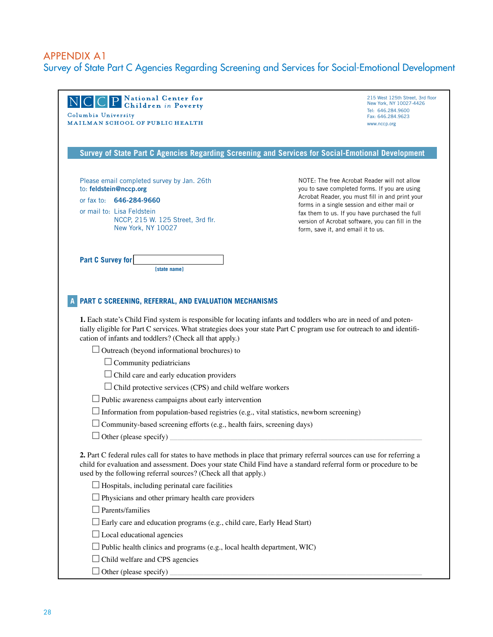## Appendix A1 Survey of State Part C Agencies Regarding Screening and Services for Social-Emotional Development

| <b>P</b> National Center for<br>Children in Poverty<br>N C C <br>Columbia University<br>MAILMAN SCHOOL OF PUBLIC HEALTH                                                                                                                                                                                                                                                                                                                                                                     | 215 West 125th Street, 3rd floor<br>New York, NY 10027-4426<br>Tel: 646.284.9600<br>Fax: 646.284.9623<br>www.nccp.org                                                                                                                                                                                                                        |
|---------------------------------------------------------------------------------------------------------------------------------------------------------------------------------------------------------------------------------------------------------------------------------------------------------------------------------------------------------------------------------------------------------------------------------------------------------------------------------------------|----------------------------------------------------------------------------------------------------------------------------------------------------------------------------------------------------------------------------------------------------------------------------------------------------------------------------------------------|
| Survey of State Part C Agencies Regarding Screening and Services for Social-Emotional Development                                                                                                                                                                                                                                                                                                                                                                                           |                                                                                                                                                                                                                                                                                                                                              |
| Please email completed survey by Jan. 26th<br>to: feldstein@nccp.org<br>or fax to: 646-284-9660<br>or mail to: Lisa Feldstein<br>NCCP, 215 W. 125 Street, 3rd flr.<br>New York, NY 10027                                                                                                                                                                                                                                                                                                    | NOTE: The free Acrobat Reader will not allow<br>you to save completed forms. If you are using<br>Acrobat Reader, you must fill in and print your<br>forms in a single session and either mail or<br>fax them to us. If you have purchased the full<br>version of Acrobat software, you can fill in the<br>form, save it, and email it to us. |
| Part C Survey for<br><b>Istate namel</b>                                                                                                                                                                                                                                                                                                                                                                                                                                                    |                                                                                                                                                                                                                                                                                                                                              |
| PART C SCREENING, REFERRAL, AND EVALUATION MECHANISMS<br>1. Each state's Child Find system is responsible for locating infants and toddlers who are in need of and poten-<br>tially eligible for Part C services. What strategies does your state Part C program use for outreach to and identifi-<br>cation of infants and toddlers? (Check all that apply.)<br>$\Box$ Outreach (beyond informational brochures) to<br>Community pediatricians<br>Child care and early education providers |                                                                                                                                                                                                                                                                                                                                              |
| Child protective services (CPS) and child welfare workers<br>$\Box$ Public awareness campaigns about early intervention<br>Information from population-based registries (e.g., vital statistics, newborn screening)                                                                                                                                                                                                                                                                         |                                                                                                                                                                                                                                                                                                                                              |
| $\Box$ Community-based screening efforts (e.g., health fairs, screening days)<br>$\Box$ Other (please specify)                                                                                                                                                                                                                                                                                                                                                                              |                                                                                                                                                                                                                                                                                                                                              |
| 2. Part C federal rules call for states to have methods in place that primary referral sources can use for referring a<br>child for evaluation and assessment. Does your state Child Find have a standard referral form or procedure to be<br>used by the following referral sources? (Check all that apply.)                                                                                                                                                                               |                                                                                                                                                                                                                                                                                                                                              |
| $\Box$ Hospitals, including perinatal care facilities<br>$\Box$ Physicians and other primary health care providers                                                                                                                                                                                                                                                                                                                                                                          |                                                                                                                                                                                                                                                                                                                                              |
| $\Box$ Parents/families<br>$\perp$ Early care and education programs (e.g., child care, Early Head Start)<br>$\Box$ Local educational agencies<br>$\Box$ Public health clinics and programs (e.g., local health department, WIC)                                                                                                                                                                                                                                                            |                                                                                                                                                                                                                                                                                                                                              |
| $\Box$ Child welfare and CPS agencies<br>$\Box$ Other (please specify)                                                                                                                                                                                                                                                                                                                                                                                                                      |                                                                                                                                                                                                                                                                                                                                              |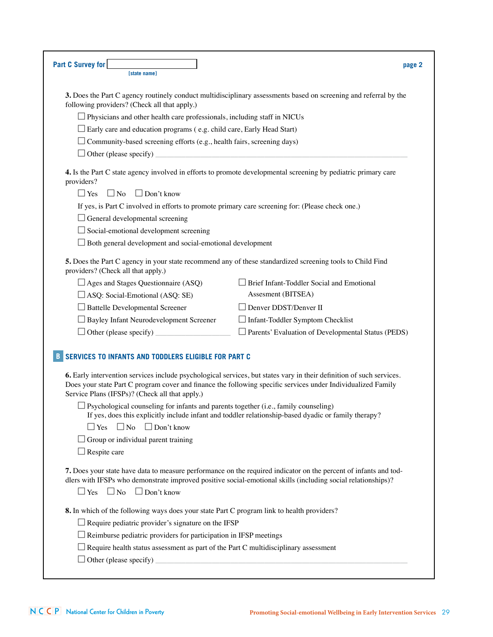| <b>Part C Survey for</b><br><b>Istate namel</b>                                                                                                         | page 2                                                                                                                                                                                                                               |
|---------------------------------------------------------------------------------------------------------------------------------------------------------|--------------------------------------------------------------------------------------------------------------------------------------------------------------------------------------------------------------------------------------|
| following providers? (Check all that apply.)                                                                                                            | 3. Does the Part C agency routinely conduct multidisciplinary assessments based on screening and referral by the                                                                                                                     |
| $\Box$ Physicians and other health care professionals, including staff in NICUs                                                                         |                                                                                                                                                                                                                                      |
| $\Box$ Early care and education programs (e.g. child care, Early Head Start)                                                                            |                                                                                                                                                                                                                                      |
| $\Box$ Community-based screening efforts (e.g., health fairs, screening days)                                                                           |                                                                                                                                                                                                                                      |
| $\Box$ Other (please specify)                                                                                                                           |                                                                                                                                                                                                                                      |
| providers?                                                                                                                                              | 4. Is the Part C state agency involved in efforts to promote developmental screening by pediatric primary care                                                                                                                       |
| $\Box$ Yes<br>$\Box$ No<br>$\Box$ Don't know                                                                                                            |                                                                                                                                                                                                                                      |
| If yes, is Part C involved in efforts to promote primary care screening for: (Please check one.)                                                        |                                                                                                                                                                                                                                      |
| $\Box$ General developmental screening                                                                                                                  |                                                                                                                                                                                                                                      |
| $\Box$ Social-emotional development screening                                                                                                           |                                                                                                                                                                                                                                      |
| $\Box$ Both general development and social-emotional development                                                                                        |                                                                                                                                                                                                                                      |
| providers? (Check all that apply.)                                                                                                                      | 5. Does the Part C agency in your state recommend any of these standardized screening tools to Child Find                                                                                                                            |
| $\Box$ Ages and Stages Questionnaire (ASQ)                                                                                                              | Brief Infant-Toddler Social and Emotional                                                                                                                                                                                            |
| $\Box$ ASQ: Social-Emotional (ASQ: SE)                                                                                                                  | Assesment (BITSEA)                                                                                                                                                                                                                   |
| Battelle Developmental Screener                                                                                                                         | Denver DDST/Denver II                                                                                                                                                                                                                |
| □ Bayley Infant Neurodevelopment Screener                                                                                                               | $\Box$ Infant-Toddler Symptom Checklist                                                                                                                                                                                              |
| $\Box$ Other (please specify)                                                                                                                           | $\Box$ Parents' Evaluation of Developmental Status (PEDS)                                                                                                                                                                            |
| SERVICES TO INFANTS AND TODDLERS ELIGIBLE FOR PART C<br>Service Plans (IFSPs)? (Check all that apply.)                                                  | 6. Early intervention services include psychological services, but states vary in their definition of such services.<br>Does your state Part C program cover and finance the following specific services under Individualized Family |
| $\Box$ Psychological counseling for infants and parents together (i.e., family counseling)<br>$\Box$ No<br>$\Box$ Don't know<br>$\Box$ Yes              | If yes, does this explicitly include infant and toddler relationship-based dyadic or family therapy?                                                                                                                                 |
|                                                                                                                                                         |                                                                                                                                                                                                                                      |
| $\Box$ Group or individual parent training<br>$\Box$ Respite care                                                                                       |                                                                                                                                                                                                                                      |
| $\Box$ Yes $\Box$ No<br>$\Box$ Don't know                                                                                                               | 7. Does your state have data to measure performance on the required indicator on the percent of infants and tod-<br>dlers with IFSPs who demonstrate improved positive social-emotional skills (including social relationships)?     |
| 8. In which of the following ways does your state Part C program link to health providers?<br>$\Box$ Require pediatric provider's signature on the IFSP |                                                                                                                                                                                                                                      |
| $\Box$ Reimburse pediatric providers for participation in IFSP meetings                                                                                 |                                                                                                                                                                                                                                      |
| $\Box$ Require health status assessment as part of the Part C multidisciplinary assessment                                                              |                                                                                                                                                                                                                                      |
| $\Box$ Other (please specify) $\Box$                                                                                                                    |                                                                                                                                                                                                                                      |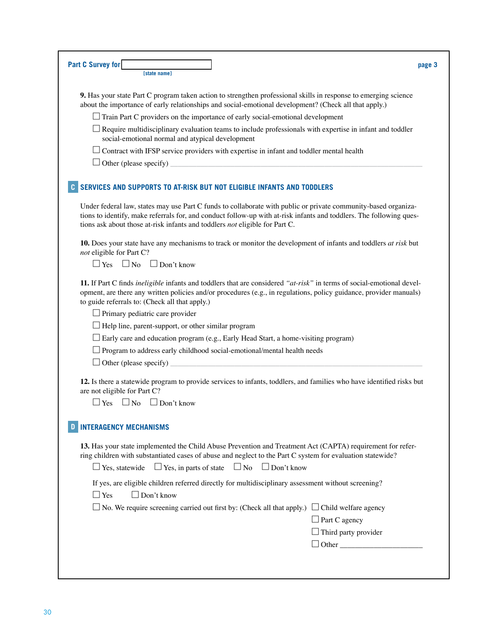| Part C Survey for<br>[state name]                                                                                                                                                                                                                                                                                    | page 3                      |
|----------------------------------------------------------------------------------------------------------------------------------------------------------------------------------------------------------------------------------------------------------------------------------------------------------------------|-----------------------------|
| 9. Has your state Part C program taken action to strengthen professional skills in response to emerging science<br>about the importance of early relationships and social-emotional development? (Check all that apply.)                                                                                             |                             |
| $\Box$ Train Part C providers on the importance of early social-emotional development                                                                                                                                                                                                                                |                             |
| $\perp$ Require multidisciplinary evaluation teams to include professionals with expertise in infant and toddler<br>social-emotional normal and atypical development                                                                                                                                                 |                             |
| $\Box$ Contract with IFSP service providers with expertise in infant and toddler mental health                                                                                                                                                                                                                       |                             |
| $\Box$ Other (please specify) $\Box$                                                                                                                                                                                                                                                                                 |                             |
| SERVICES AND SUPPORTS TO AT-RISK BUT NOT ELIGIBLE INFANTS AND TODDLERS                                                                                                                                                                                                                                               |                             |
| Under federal law, states may use Part C funds to collaborate with public or private community-based organiza-<br>tions to identify, make referrals for, and conduct follow-up with at-risk infants and toddlers. The following ques-<br>tions ask about those at-risk infants and toddlers not eligible for Part C. |                             |
| 10. Does your state have any mechanisms to track or monitor the development of infants and toddlers at risk but<br>not eligible for Part C?                                                                                                                                                                          |                             |
| $\Box$ No $\Box$ Don't know<br>$\Box$ Yes                                                                                                                                                                                                                                                                            |                             |
| 11. If Part C finds <i>ineligible</i> infants and toddlers that are considered "at-risk" in terms of social-emotional devel-<br>opment, are there any written policies and/or procedures (e.g., in regulations, policy guidance, provider manuals)<br>to guide referrals to: (Check all that apply.)                 |                             |
| $\Box$ Primary pediatric care provider                                                                                                                                                                                                                                                                               |                             |
| $\Box$ Help line, parent-support, or other similar program                                                                                                                                                                                                                                                           |                             |
| $\Box$ Early care and education program (e.g., Early Head Start, a home-visiting program)                                                                                                                                                                                                                            |                             |
| $\Box$ Program to address early childhood social-emotional/mental health needs                                                                                                                                                                                                                                       |                             |
| $\Box$ Other (please specify)                                                                                                                                                                                                                                                                                        |                             |
| 12. Is there a statewide program to provide services to infants, toddlers, and families who have identified risks but<br>are not eligible for Part C?                                                                                                                                                                |                             |
| $\Box$ Yes $\Box$ No $\Box$ Don't know                                                                                                                                                                                                                                                                               |                             |
| <b>INTERAGENCY MECHANISMS</b>                                                                                                                                                                                                                                                                                        |                             |
| 13. Has your state implemented the Child Abuse Prevention and Treatment Act (CAPTA) requirement for refer-<br>ring children with substantiated cases of abuse and neglect to the Part C system for evaluation statewide?<br>$\Box$ Yes, in parts of state $\Box$ No $\Box$ Don't know<br>$\Box$ Yes, statewide       |                             |
| If yes, are eligible children referred directly for multidisciplinary assessment without screening?<br>$\Box$ Don't know<br>$\Box$ Yes                                                                                                                                                                               |                             |
| $\Box$ No. We require screening carried out first by: (Check all that apply.) $\Box$ Child welfare agency                                                                                                                                                                                                            |                             |
|                                                                                                                                                                                                                                                                                                                      | $\Box$ Part C agency        |
|                                                                                                                                                                                                                                                                                                                      |                             |
|                                                                                                                                                                                                                                                                                                                      | $\Box$ Third party provider |

I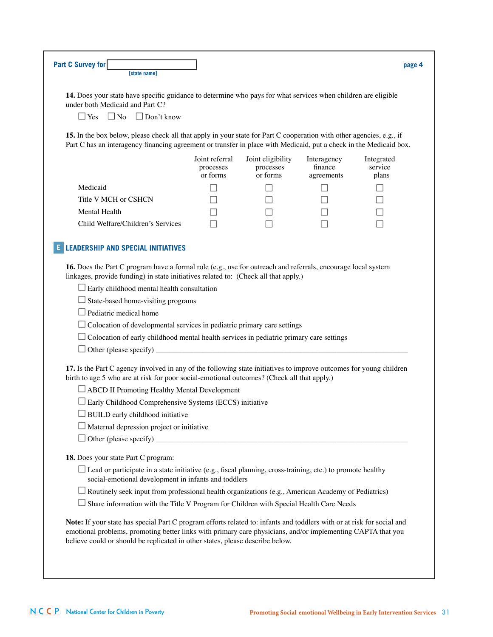| 14. Does your state have specific guidance to determine who pays for what services when children are eligible<br>under both Medicaid and Part C?                                                                                           |                                         |                                            |                                      |                                |
|--------------------------------------------------------------------------------------------------------------------------------------------------------------------------------------------------------------------------------------------|-----------------------------------------|--------------------------------------------|--------------------------------------|--------------------------------|
| $\Box$ Yes $\Box$ No<br>$\Box$ Don't know                                                                                                                                                                                                  |                                         |                                            |                                      |                                |
| 15. In the box below, please check all that apply in your state for Part C cooperation with other agencies, e.g., if<br>Part C has an interagency financing agreement or transfer in place with Medicaid, put a check in the Medicaid box. |                                         |                                            |                                      |                                |
|                                                                                                                                                                                                                                            | Joint referral<br>processes<br>or forms | Joint eligibility<br>processes<br>or forms | Interagency<br>finance<br>agreements | Integrated<br>service<br>plans |
| Medicaid                                                                                                                                                                                                                                   |                                         | $\sim$                                     |                                      |                                |
| Title V MCH or CSHCN                                                                                                                                                                                                                       |                                         |                                            |                                      |                                |
| Mental Health                                                                                                                                                                                                                              |                                         |                                            |                                      |                                |
| Child Welfare/Children's Services                                                                                                                                                                                                          |                                         |                                            |                                      |                                |
|                                                                                                                                                                                                                                            |                                         |                                            |                                      |                                |
| <b>LEADERSHIP AND SPECIAL INITIATIVES</b>                                                                                                                                                                                                  |                                         |                                            |                                      |                                |
| 16. Does the Part C program have a formal role (e.g., use for outreach and referrals, encourage local system<br>linkages, provide funding) in state initiatives related to: (Check all that apply.)                                        |                                         |                                            |                                      |                                |
| $\Box$ Early childhood mental health consultation                                                                                                                                                                                          |                                         |                                            |                                      |                                |
| $\Box$ State-based home-visiting programs                                                                                                                                                                                                  |                                         |                                            |                                      |                                |
| Pediatric medical home                                                                                                                                                                                                                     |                                         |                                            |                                      |                                |
| $\Box$ Colocation of developmental services in pediatric primary care settings                                                                                                                                                             |                                         |                                            |                                      |                                |
| $\Box$ Colocation of early childhood mental health services in pediatric primary care settings                                                                                                                                             |                                         |                                            |                                      |                                |
|                                                                                                                                                                                                                                            |                                         |                                            |                                      |                                |
| 17. Is the Part C agency involved in any of the following state initiatives to improve outcomes for young children<br>birth to age 5 who are at risk for poor social-emotional outcomes? (Check all that apply.)                           |                                         |                                            |                                      |                                |
| □ ABCD II Promoting Healthy Mental Development                                                                                                                                                                                             |                                         |                                            |                                      |                                |
| $\Box$ Early Childhood Comprehensive Systems (ECCS) initiative                                                                                                                                                                             |                                         |                                            |                                      |                                |
| $\Box$ BUILD early childhood initiative                                                                                                                                                                                                    |                                         |                                            |                                      |                                |
| Maternal depression project or initiative                                                                                                                                                                                                  |                                         |                                            |                                      |                                |
|                                                                                                                                                                                                                                            |                                         |                                            |                                      |                                |
| $\Box$ Other (please specify)                                                                                                                                                                                                              |                                         |                                            |                                      |                                |
|                                                                                                                                                                                                                                            |                                         |                                            |                                      |                                |
| $\Box$ Lead or participate in a state initiative (e.g., fiscal planning, cross-training, etc.) to promote healthy                                                                                                                          |                                         |                                            |                                      |                                |
| 18. Does your state Part C program:<br>social-emotional development in infants and toddlers                                                                                                                                                |                                         |                                            |                                      |                                |
| $\Box$ Routinely seek input from professional health organizations (e.g., American Academy of Pediatrics)<br>$\Box$ Share information with the Title V Program for Children with Special Health Care Needs                                 |                                         |                                            |                                      |                                |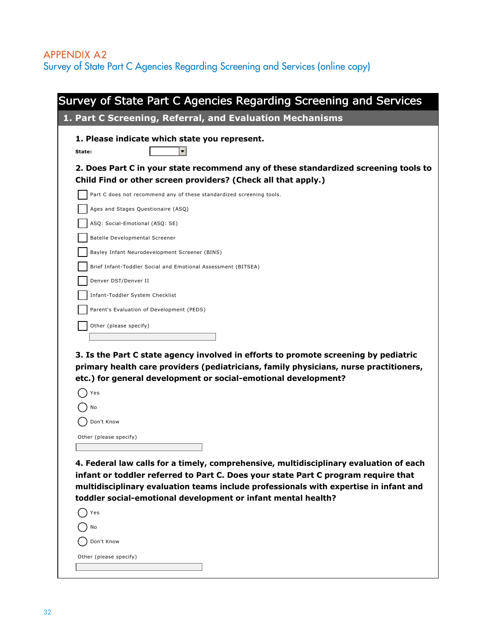## Appendix A2 Survey of State Part C Agencies Regarding Screening and Services (online copy)

| 1. Part C Screening, Referral, and Evaluation Mechanisms<br>1. Please indicate which state you represent.<br>2. Does Part C in your state recommend any of these standardized screening tools to<br>Child Find or other screen providers? (Check all that apply.)<br>Part C does not recommend any of these standardized screening tools.<br>Ages and Stages Questionaire (ASQ)<br>ASQ: Social-Emotional (ASQ: SE)<br>Batelle Developmental Screener<br>Bayley Infant Neurodevelopment Screener (BINS)<br>Brief Infant-Toddler Social and Emotional Assessment (BITSEA)<br>Infant-Toddler System Checklist<br>Parent's Evaluation of Development (PEDS) |
|---------------------------------------------------------------------------------------------------------------------------------------------------------------------------------------------------------------------------------------------------------------------------------------------------------------------------------------------------------------------------------------------------------------------------------------------------------------------------------------------------------------------------------------------------------------------------------------------------------------------------------------------------------|
|                                                                                                                                                                                                                                                                                                                                                                                                                                                                                                                                                                                                                                                         |
|                                                                                                                                                                                                                                                                                                                                                                                                                                                                                                                                                                                                                                                         |
|                                                                                                                                                                                                                                                                                                                                                                                                                                                                                                                                                                                                                                                         |
|                                                                                                                                                                                                                                                                                                                                                                                                                                                                                                                                                                                                                                                         |
|                                                                                                                                                                                                                                                                                                                                                                                                                                                                                                                                                                                                                                                         |
|                                                                                                                                                                                                                                                                                                                                                                                                                                                                                                                                                                                                                                                         |
|                                                                                                                                                                                                                                                                                                                                                                                                                                                                                                                                                                                                                                                         |
|                                                                                                                                                                                                                                                                                                                                                                                                                                                                                                                                                                                                                                                         |
|                                                                                                                                                                                                                                                                                                                                                                                                                                                                                                                                                                                                                                                         |
|                                                                                                                                                                                                                                                                                                                                                                                                                                                                                                                                                                                                                                                         |
|                                                                                                                                                                                                                                                                                                                                                                                                                                                                                                                                                                                                                                                         |
|                                                                                                                                                                                                                                                                                                                                                                                                                                                                                                                                                                                                                                                         |
|                                                                                                                                                                                                                                                                                                                                                                                                                                                                                                                                                                                                                                                         |
|                                                                                                                                                                                                                                                                                                                                                                                                                                                                                                                                                                                                                                                         |
|                                                                                                                                                                                                                                                                                                                                                                                                                                                                                                                                                                                                                                                         |
| 3. Is the Part C state agency involved in efforts to promote screening by pediatric<br>primary health care providers (pediatricians, family physicians, nurse practitioners,<br>etc.) for general development or social-emotional development?                                                                                                                                                                                                                                                                                                                                                                                                          |
|                                                                                                                                                                                                                                                                                                                                                                                                                                                                                                                                                                                                                                                         |
|                                                                                                                                                                                                                                                                                                                                                                                                                                                                                                                                                                                                                                                         |
|                                                                                                                                                                                                                                                                                                                                                                                                                                                                                                                                                                                                                                                         |
| 4. Federal law calls for a timely, comprehensive, multidisciplinary evaluation of each<br>infant or toddler referred to Part C. Does your state Part C program require that<br>multidisciplinary evaluation teams include professionals with expertise in infant and                                                                                                                                                                                                                                                                                                                                                                                    |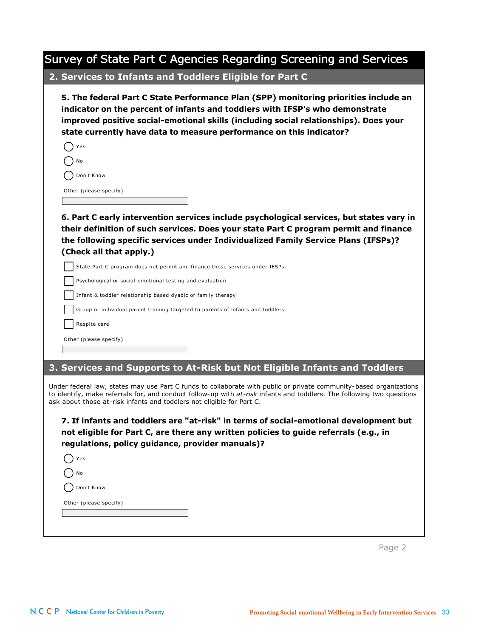| Survey of State Part C Agencies Regarding Screening and Services                                                                                                                                                                                                                                                                    |
|-------------------------------------------------------------------------------------------------------------------------------------------------------------------------------------------------------------------------------------------------------------------------------------------------------------------------------------|
| 2. Services to Infants and Toddlers Eligible for Part C                                                                                                                                                                                                                                                                             |
| 5. The federal Part C State Performance Plan (SPP) monitoring priorities include an<br>indicator on the percent of infants and toddlers with IFSP's who demonstrate<br>improved positive social-emotional skills (including social relationships). Does your<br>state currently have data to measure performance on this indicator? |
| Yes                                                                                                                                                                                                                                                                                                                                 |
| No                                                                                                                                                                                                                                                                                                                                  |
| Don't Know                                                                                                                                                                                                                                                                                                                          |
| Other (please specify)                                                                                                                                                                                                                                                                                                              |
| 6. Part C early intervention services include psychological services, but states vary in<br>their definition of such services. Does your state Part C program permit and finance<br>the following specific services under Individualized Family Service Plans (IFSPs)?<br>(Check all that apply.)                                   |
| State Part C program does not permit and finance these services under IFSPs.                                                                                                                                                                                                                                                        |
| Psychological or social-emotional testing and evaluation                                                                                                                                                                                                                                                                            |
| Infant & toddler relationship based dyadic or family therapy                                                                                                                                                                                                                                                                        |
| Group or individual parent training targeted to parents of infants and toddlers                                                                                                                                                                                                                                                     |
| Respite care                                                                                                                                                                                                                                                                                                                        |
| Other (please specify)                                                                                                                                                                                                                                                                                                              |
|                                                                                                                                                                                                                                                                                                                                     |
| 3. Services and Supports to At-Risk but Not Eligible Infants and Toddlers                                                                                                                                                                                                                                                           |
| Under federal law, states may use Part C funds to collaborate with public or private community-based organizations<br>to identify, make referrals for, and conduct follow-up with at-risk infants and toddlers. The following two questions<br>ask about those at-risk infants and toddlers not eligible for Part C.                |
| 7. If infants and toddlers are "at-risk" in terms of social-emotional development but<br>not eligible for Part C, are there any written policies to guide referrals (e.g., in<br>regulations, policy guidance, provider manuals)?                                                                                                   |
| Yes                                                                                                                                                                                                                                                                                                                                 |
| No                                                                                                                                                                                                                                                                                                                                  |
| Don't Know                                                                                                                                                                                                                                                                                                                          |
| Other (please specify)                                                                                                                                                                                                                                                                                                              |
|                                                                                                                                                                                                                                                                                                                                     |
|                                                                                                                                                                                                                                                                                                                                     |

Page 2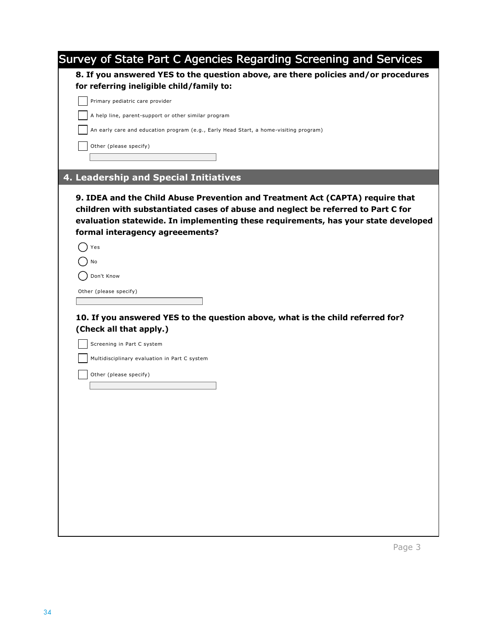| Survey of State Part C Agencies Regarding Screening and Services                                                                                                                                                                                                                           |
|--------------------------------------------------------------------------------------------------------------------------------------------------------------------------------------------------------------------------------------------------------------------------------------------|
| 8. If you answered YES to the question above, are there policies and/or procedures                                                                                                                                                                                                         |
| for referring ineligible child/family to:                                                                                                                                                                                                                                                  |
| Primary pediatric care provider                                                                                                                                                                                                                                                            |
| A help line, parent-support or other similar program                                                                                                                                                                                                                                       |
| An early care and education program (e.g., Early Head Start, a home-visiting program)                                                                                                                                                                                                      |
| Other (please specify)                                                                                                                                                                                                                                                                     |
|                                                                                                                                                                                                                                                                                            |
| 4. Leadership and Special Initiatives                                                                                                                                                                                                                                                      |
| 9. IDEA and the Child Abuse Prevention and Treatment Act (CAPTA) require that<br>children with substantiated cases of abuse and neglect be referred to Part C for<br>evaluation statewide. In implementing these requirements, has your state developed<br>formal interagency agreeements? |
| Yes                                                                                                                                                                                                                                                                                        |
| No                                                                                                                                                                                                                                                                                         |
| Don't Know                                                                                                                                                                                                                                                                                 |
| Other (please specify)                                                                                                                                                                                                                                                                     |
|                                                                                                                                                                                                                                                                                            |
| 10. If you answered YES to the question above, what is the child referred for?                                                                                                                                                                                                             |
| (Check all that apply.)                                                                                                                                                                                                                                                                    |
| Screening in Part C system                                                                                                                                                                                                                                                                 |
| Multidisciplinary evaluation in Part C system                                                                                                                                                                                                                                              |
| Other (please specify)                                                                                                                                                                                                                                                                     |
|                                                                                                                                                                                                                                                                                            |
|                                                                                                                                                                                                                                                                                            |
|                                                                                                                                                                                                                                                                                            |
|                                                                                                                                                                                                                                                                                            |
|                                                                                                                                                                                                                                                                                            |
|                                                                                                                                                                                                                                                                                            |
|                                                                                                                                                                                                                                                                                            |
|                                                                                                                                                                                                                                                                                            |
|                                                                                                                                                                                                                                                                                            |
|                                                                                                                                                                                                                                                                                            |
|                                                                                                                                                                                                                                                                                            |
|                                                                                                                                                                                                                                                                                            |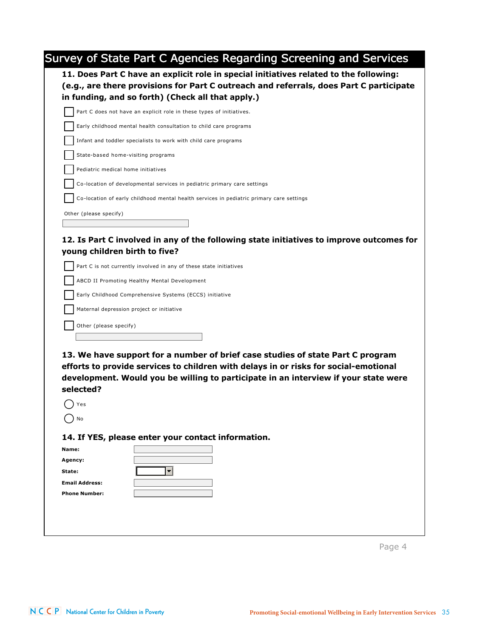| 11. Does Part C have an explicit role in special initiatives related to the following:<br>(e.g., are there provisions for Part C outreach and referrals, does Part C participate<br>in funding, and so forth) (Check all that apply.)<br>Part C does not have an explicit role in these types of initiatives.<br>Early childhood mental health consultation to child care programs<br>Infant and toddler specialists to work with child care programs<br>State-based home-visiting programs<br>Pediatric medical home initiatives<br>Co-location of developmental services in pediatric primary care settings<br>Co-location of early childhood mental health services in pediatric primary care settings<br>Other (please specify)<br>12. Is Part C involved in any of the following state initiatives to improve outcomes for<br>young children birth to five?<br>Part C is not currently involved in any of these state initiatives<br>ABCD II Promoting Healthy Mental Development<br>Early Childhood Comprehensive Systems (ECCS) initiative<br>Maternal depression project or initiative<br>Other (please specify)<br>13. We have support for a number of brief case studies of state Part C program<br>efforts to provide services to children with delays in or risks for social-emotional<br>development. Would you be willing to participate in an interview if your state were<br>selected?<br>Yes<br>No<br>14. If YES, please enter your contact information.<br>Name:<br>Agency:<br>$\overline{\phantom{a}}$<br>State:<br><b>Email Address:</b><br><b>Phone Number:</b> | Survey of State Part C Agencies Regarding Screening and Services |
|--------------------------------------------------------------------------------------------------------------------------------------------------------------------------------------------------------------------------------------------------------------------------------------------------------------------------------------------------------------------------------------------------------------------------------------------------------------------------------------------------------------------------------------------------------------------------------------------------------------------------------------------------------------------------------------------------------------------------------------------------------------------------------------------------------------------------------------------------------------------------------------------------------------------------------------------------------------------------------------------------------------------------------------------------------------------------------------------------------------------------------------------------------------------------------------------------------------------------------------------------------------------------------------------------------------------------------------------------------------------------------------------------------------------------------------------------------------------------------------------------------------------------------------------------------------------------------------|------------------------------------------------------------------|
|                                                                                                                                                                                                                                                                                                                                                                                                                                                                                                                                                                                                                                                                                                                                                                                                                                                                                                                                                                                                                                                                                                                                                                                                                                                                                                                                                                                                                                                                                                                                                                                      |                                                                  |
|                                                                                                                                                                                                                                                                                                                                                                                                                                                                                                                                                                                                                                                                                                                                                                                                                                                                                                                                                                                                                                                                                                                                                                                                                                                                                                                                                                                                                                                                                                                                                                                      |                                                                  |
|                                                                                                                                                                                                                                                                                                                                                                                                                                                                                                                                                                                                                                                                                                                                                                                                                                                                                                                                                                                                                                                                                                                                                                                                                                                                                                                                                                                                                                                                                                                                                                                      |                                                                  |
|                                                                                                                                                                                                                                                                                                                                                                                                                                                                                                                                                                                                                                                                                                                                                                                                                                                                                                                                                                                                                                                                                                                                                                                                                                                                                                                                                                                                                                                                                                                                                                                      |                                                                  |
|                                                                                                                                                                                                                                                                                                                                                                                                                                                                                                                                                                                                                                                                                                                                                                                                                                                                                                                                                                                                                                                                                                                                                                                                                                                                                                                                                                                                                                                                                                                                                                                      |                                                                  |
|                                                                                                                                                                                                                                                                                                                                                                                                                                                                                                                                                                                                                                                                                                                                                                                                                                                                                                                                                                                                                                                                                                                                                                                                                                                                                                                                                                                                                                                                                                                                                                                      |                                                                  |
|                                                                                                                                                                                                                                                                                                                                                                                                                                                                                                                                                                                                                                                                                                                                                                                                                                                                                                                                                                                                                                                                                                                                                                                                                                                                                                                                                                                                                                                                                                                                                                                      |                                                                  |
|                                                                                                                                                                                                                                                                                                                                                                                                                                                                                                                                                                                                                                                                                                                                                                                                                                                                                                                                                                                                                                                                                                                                                                                                                                                                                                                                                                                                                                                                                                                                                                                      |                                                                  |
|                                                                                                                                                                                                                                                                                                                                                                                                                                                                                                                                                                                                                                                                                                                                                                                                                                                                                                                                                                                                                                                                                                                                                                                                                                                                                                                                                                                                                                                                                                                                                                                      |                                                                  |
|                                                                                                                                                                                                                                                                                                                                                                                                                                                                                                                                                                                                                                                                                                                                                                                                                                                                                                                                                                                                                                                                                                                                                                                                                                                                                                                                                                                                                                                                                                                                                                                      |                                                                  |
|                                                                                                                                                                                                                                                                                                                                                                                                                                                                                                                                                                                                                                                                                                                                                                                                                                                                                                                                                                                                                                                                                                                                                                                                                                                                                                                                                                                                                                                                                                                                                                                      |                                                                  |
|                                                                                                                                                                                                                                                                                                                                                                                                                                                                                                                                                                                                                                                                                                                                                                                                                                                                                                                                                                                                                                                                                                                                                                                                                                                                                                                                                                                                                                                                                                                                                                                      |                                                                  |
|                                                                                                                                                                                                                                                                                                                                                                                                                                                                                                                                                                                                                                                                                                                                                                                                                                                                                                                                                                                                                                                                                                                                                                                                                                                                                                                                                                                                                                                                                                                                                                                      |                                                                  |
|                                                                                                                                                                                                                                                                                                                                                                                                                                                                                                                                                                                                                                                                                                                                                                                                                                                                                                                                                                                                                                                                                                                                                                                                                                                                                                                                                                                                                                                                                                                                                                                      |                                                                  |
|                                                                                                                                                                                                                                                                                                                                                                                                                                                                                                                                                                                                                                                                                                                                                                                                                                                                                                                                                                                                                                                                                                                                                                                                                                                                                                                                                                                                                                                                                                                                                                                      |                                                                  |
|                                                                                                                                                                                                                                                                                                                                                                                                                                                                                                                                                                                                                                                                                                                                                                                                                                                                                                                                                                                                                                                                                                                                                                                                                                                                                                                                                                                                                                                                                                                                                                                      |                                                                  |
|                                                                                                                                                                                                                                                                                                                                                                                                                                                                                                                                                                                                                                                                                                                                                                                                                                                                                                                                                                                                                                                                                                                                                                                                                                                                                                                                                                                                                                                                                                                                                                                      |                                                                  |
|                                                                                                                                                                                                                                                                                                                                                                                                                                                                                                                                                                                                                                                                                                                                                                                                                                                                                                                                                                                                                                                                                                                                                                                                                                                                                                                                                                                                                                                                                                                                                                                      |                                                                  |
|                                                                                                                                                                                                                                                                                                                                                                                                                                                                                                                                                                                                                                                                                                                                                                                                                                                                                                                                                                                                                                                                                                                                                                                                                                                                                                                                                                                                                                                                                                                                                                                      |                                                                  |
|                                                                                                                                                                                                                                                                                                                                                                                                                                                                                                                                                                                                                                                                                                                                                                                                                                                                                                                                                                                                                                                                                                                                                                                                                                                                                                                                                                                                                                                                                                                                                                                      |                                                                  |
|                                                                                                                                                                                                                                                                                                                                                                                                                                                                                                                                                                                                                                                                                                                                                                                                                                                                                                                                                                                                                                                                                                                                                                                                                                                                                                                                                                                                                                                                                                                                                                                      |                                                                  |
|                                                                                                                                                                                                                                                                                                                                                                                                                                                                                                                                                                                                                                                                                                                                                                                                                                                                                                                                                                                                                                                                                                                                                                                                                                                                                                                                                                                                                                                                                                                                                                                      |                                                                  |
|                                                                                                                                                                                                                                                                                                                                                                                                                                                                                                                                                                                                                                                                                                                                                                                                                                                                                                                                                                                                                                                                                                                                                                                                                                                                                                                                                                                                                                                                                                                                                                                      |                                                                  |
|                                                                                                                                                                                                                                                                                                                                                                                                                                                                                                                                                                                                                                                                                                                                                                                                                                                                                                                                                                                                                                                                                                                                                                                                                                                                                                                                                                                                                                                                                                                                                                                      |                                                                  |
|                                                                                                                                                                                                                                                                                                                                                                                                                                                                                                                                                                                                                                                                                                                                                                                                                                                                                                                                                                                                                                                                                                                                                                                                                                                                                                                                                                                                                                                                                                                                                                                      |                                                                  |
|                                                                                                                                                                                                                                                                                                                                                                                                                                                                                                                                                                                                                                                                                                                                                                                                                                                                                                                                                                                                                                                                                                                                                                                                                                                                                                                                                                                                                                                                                                                                                                                      |                                                                  |
|                                                                                                                                                                                                                                                                                                                                                                                                                                                                                                                                                                                                                                                                                                                                                                                                                                                                                                                                                                                                                                                                                                                                                                                                                                                                                                                                                                                                                                                                                                                                                                                      |                                                                  |
|                                                                                                                                                                                                                                                                                                                                                                                                                                                                                                                                                                                                                                                                                                                                                                                                                                                                                                                                                                                                                                                                                                                                                                                                                                                                                                                                                                                                                                                                                                                                                                                      |                                                                  |
|                                                                                                                                                                                                                                                                                                                                                                                                                                                                                                                                                                                                                                                                                                                                                                                                                                                                                                                                                                                                                                                                                                                                                                                                                                                                                                                                                                                                                                                                                                                                                                                      |                                                                  |
|                                                                                                                                                                                                                                                                                                                                                                                                                                                                                                                                                                                                                                                                                                                                                                                                                                                                                                                                                                                                                                                                                                                                                                                                                                                                                                                                                                                                                                                                                                                                                                                      |                                                                  |

Page 4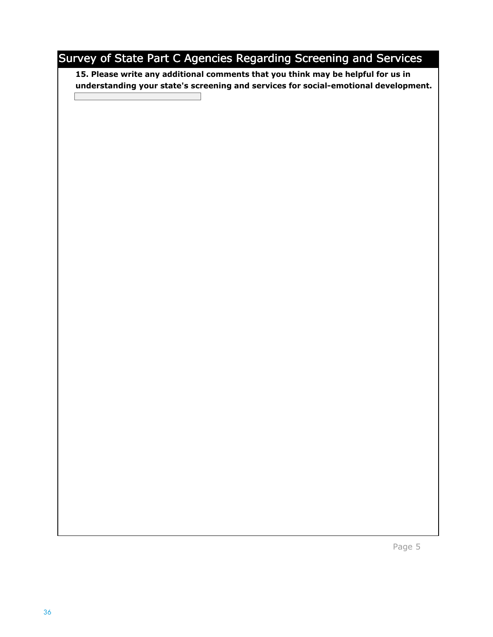## Survey of State Part C Agencies Regarding Screening and Services

**15. Please write any additional comments that you think may be helpful for us in understanding your state's screening and services for social-emotional development.** 

Page 5